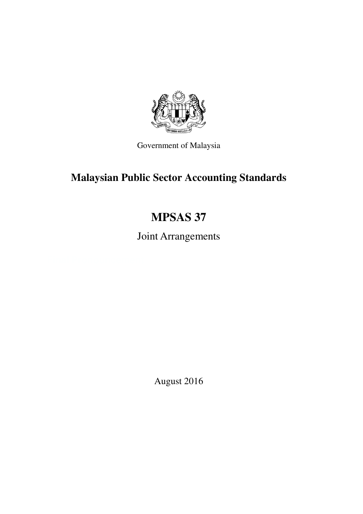

Government of Malaysia

# **Malaysian Public Sector Accounting Standards**

# **MPSAS 37**

Joint Arrangements

August 2016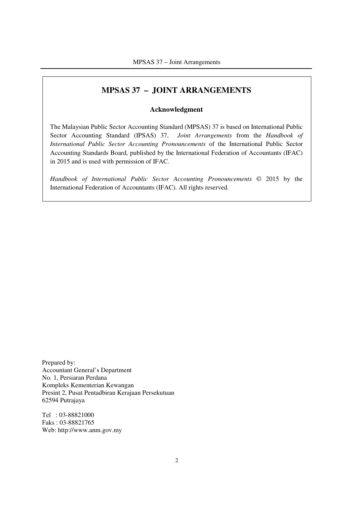## **MPSAS 37 – JOINT ARRANGEMENTS**

#### **Acknowledgment**

The Malaysian Public Sector Accounting Standard (MPSAS) 37 is based on International Public Sector Accounting Standard (IPSAS) 37, *Joint Arrangements* from the *Handbook of International Public Sector Accounting Pronouncements* of the International Public Sector Accounting Standards Board, published by the International Federation of Accountants (IFAC) in 2015 and is used with permission of IFAC.

*Handbook of International Public Sector Accounting Pronouncements* © 2015 by the International Federation of Accountants (IFAC). All rights reserved.

Prepared by: Accountant General's Department No. 1, Persiaran Perdana Kompleks Kementerian Kewangan Presint 2, Pusat Pentadbiran Kerajaan Persekutuan 62594 Putrajaya

Tel : 03-88821000 Faks : 03-88821765 Web: http://www.anm.gov.my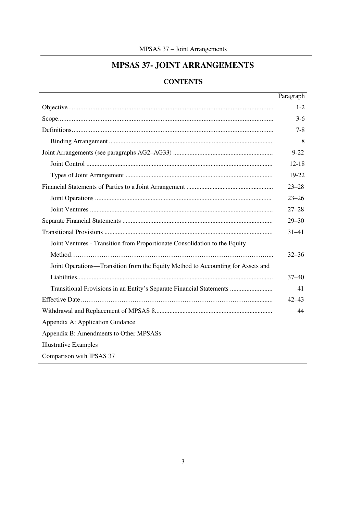## **MPSAS 37- JOINT ARRANGEMENTS**

## **CONTENTS**

|                                                                                 | Paragraph |
|---------------------------------------------------------------------------------|-----------|
|                                                                                 | $1-2$     |
|                                                                                 | $3-6$     |
|                                                                                 | $7 - 8$   |
|                                                                                 | 8         |
|                                                                                 | $9 - 22$  |
|                                                                                 | $12 - 18$ |
|                                                                                 | 19-22     |
|                                                                                 | $23 - 28$ |
|                                                                                 | $23 - 26$ |
|                                                                                 | $27 - 28$ |
|                                                                                 | $29 - 30$ |
|                                                                                 | $31 - 41$ |
| Joint Ventures - Transition from Proportionate Consolidation to the Equity      |           |
|                                                                                 | $32 - 36$ |
| Joint Operations—Transition from the Equity Method to Accounting for Assets and |           |
|                                                                                 | $37 - 40$ |
| Transitional Provisions in an Entity's Separate Financial Statements            | 41        |
|                                                                                 | $42 - 43$ |
|                                                                                 | 44        |
| Appendix A: Application Guidance                                                |           |
| Appendix B: Amendments to Other MPSASs                                          |           |
| <b>Illustrative Examples</b>                                                    |           |
| Comparison with IPSAS 37                                                        |           |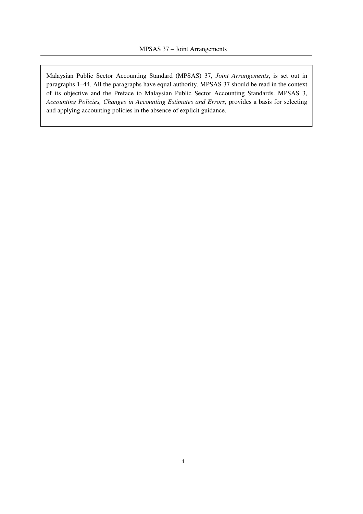Malaysian Public Sector Accounting Standard (MPSAS) 37, *Joint Arrangements*, is set out in paragraphs 1–44. All the paragraphs have equal authority. MPSAS 37 should be read in the context of its objective and the Preface to Malaysian Public Sector Accounting Standards. MPSAS 3, *Accounting Policies, Changes in Accounting Estimates and Errors*, provides a basis for selecting and applying accounting policies in the absence of explicit guidance.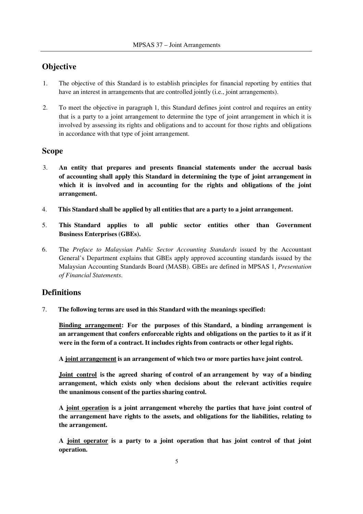## **Objective**

- 1. The objective of this Standard is to establish principles for financial reporting by entities that have an interest in arrangements that are controlled jointly (i.e., joint arrangements).
- 2. To meet the objective in paragraph 1, this Standard defines joint control and requires an entity that is a party to a joint arrangement to determine the type of joint arrangement in which it is involved by assessing its rights and obligations and to account for those rights and obligations in accordance with that type of joint arrangement.

## **Scope**

- 3. **An entity that prepares and presents financial statements under the accrual basis of accounting shall apply this Standard in determining the type of joint arrangement in which it is involved and in accounting for the rights and obligations of the joint arrangement.**
- 4. **This Standard shall be applied by all entities that are a party to a joint arrangement.**
- 5. **This Standard applies to all public sector entities other than Government Business Enterprises (GBEs).**
- 6. The *Preface to Malaysian Public Sector Accounting Standards* issued by the Accountant General's Department explains that GBEs apply approved accounting standards issued by the Malaysian Accounting Standards Board (MASB). GBEs are defined in MPSAS 1, *Presentation of Financial Statements*.

## **Definitions**

7. **The following terms are used in this Standard with the meanings specified:**

**Binding arrangement: For the purposes of this Standard, a binding arrangement is an arrangement that confers enforceable rights and obligations on the parties to it as if it were in the form of a contract. It includes rights from contracts or other legal rights.**

**A joint arrangement is an arrangement of which two or more parties have joint control.**

**Joint control is the agreed sharing of control of an arrangement by way of a binding arrangement, which exists only when decisions about the relevant activities require the unanimous consent of the parties sharing control.**

**A joint operation is a joint arrangement whereby the parties that have joint control of the arrangement have rights to the assets, and obligations for the liabilities, relating to the arrangement.**

**A joint operator is a party to a joint operation that has joint control of that joint operation.**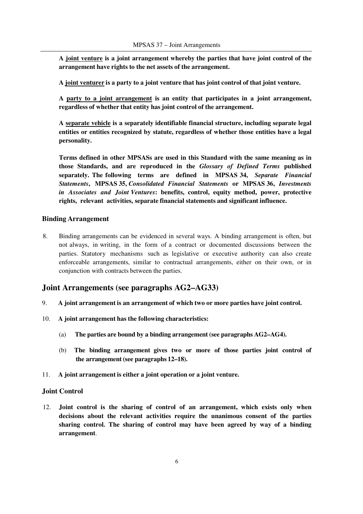**A joint venture is a joint arrangement whereby the parties that have joint control of the arrangement have rights to the net assets of the arrangement.**

**A joint venturer is a party to a joint venture that has joint control of that joint venture.**

**A party to a joint arrangement is an entity that participates in a joint arrangement, regardless of whether that entity has joint control of the arrangement.** 

**A separate vehicle is a separately identifiable financial structure, including separate legal entities or entities recognized by statute, regardless of whether those entities have a legal personality.**

**Terms defined in other MPSASs are used in this Standard with the same meaning as in those Standards, and are reproduced in the** *Glossary of Defined Terms* **published separately. The following terms are defined in MPSAS 34,** *Separate Financial Statements***, MPSAS 35,** *Consolidated Financial Statements* **or MPSAS 36,** *Investments in Associates and Joint Ventures***: benefits, control, equity method, power, protective rights, relevant activities, separate financial statements and significant influence.**

#### **Binding Arrangement**

8. Binding arrangements can be evidenced in several ways. A binding arrangement is often, but not always, in writing, in the form of a contract or documented discussions between the parties. Statutory mechanisms such as legislative or executive authority can also create enforceable arrangements, similar to contractual arrangements, either on their own, or in conjunction with contracts between the parties.

## **Joint Arrangements (see paragraphs AG2–AG33)**

- 9. **A joint arrangement is an arrangement of which two or more parties have joint control.**
- 10. **A joint arrangement has the following characteristics:**
	- (a) **The parties are bound by a binding arrangement (see paragraphs AG2–AG4).**
	- (b) **The binding arrangement gives two or more of those parties joint control of the arrangement (see paragraphs 12–18).**
- 11. **A joint arrangement is either a joint operation or a joint venture.**

## **Joint Control**

12. **Joint control is the sharing of control of an arrangement, which exists only when decisions about the relevant activities require the unanimous consent of the parties sharing control. The sharing of control may have been agreed by way of a binding arrangement**.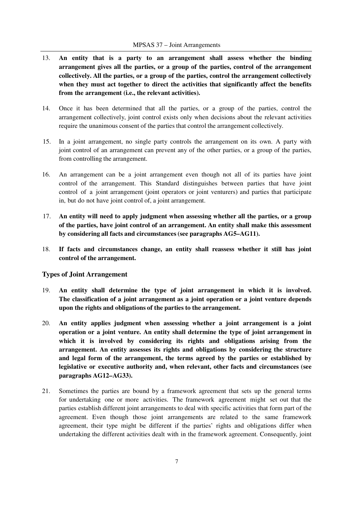- 13. **An entity that is a party to an arrangement shall assess whether the binding arrangement gives all the parties, or a group of the parties, control of the arrangement collectively. All the parties, or a group of the parties, control the arrangement collectively when they must act together to direct the activities that significantly affect the benefits from the arrangement (i.e., the relevant activities).**
- 14. Once it has been determined that all the parties, or a group of the parties, control the arrangement collectively, joint control exists only when decisions about the relevant activities require the unanimous consent of the parties that control the arrangement collectively.
- 15. In a joint arrangement, no single party controls the arrangement on its own. A party with joint control of an arrangement can prevent any of the other parties, or a group of the parties, from controlling the arrangement.
- 16. An arrangement can be a joint arrangement even though not all of its parties have joint control of the arrangement. This Standard distinguishes between parties that have joint control of a joint arrangement (joint operators or joint venturers) and parties that participate in, but do not have joint control of, a joint arrangement.
- 17. **An entity will need to apply judgment when assessing whether all the parties, or a group of the parties, have joint control of an arrangement. An entity shall make this assessment by considering all facts and circumstances (see paragraphs AG5–AG11).**
- 18. **If facts and circumstances change, an entity shall reassess whether it still has joint control of the arrangement.**

#### **Types of Joint Arrangement**

- 19. **An entity shall determine the type of joint arrangement in which it is involved. The classification of a joint arrangement as a joint operation or a joint venture depends upon the rights and obligations of the parties to the arrangement.**
- 20. **An entity applies judgment when assessing whether a joint arrangement is a joint operation or a joint venture. An entity shall determine the type of joint arrangement in which it is involved by considering its rights and obligations arising from the arrangement. An entity assesses its rights and obligations by considering the structure and legal form of the arrangement, the terms agreed by the parties or established by legislative or executive authority and, when relevant, other facts and circumstances (see paragraphs AG12–AG33).**
- 21. Sometimes the parties are bound by a framework agreement that sets up the general terms for undertaking one or more activities. The framework agreement might set out that the parties establish different joint arrangements to deal with specific activities that form part of the agreement. Even though those joint arrangements are related to the same framework agreement, their type might be different if the parties' rights and obligations differ when undertaking the different activities dealt with in the framework agreement. Consequently, joint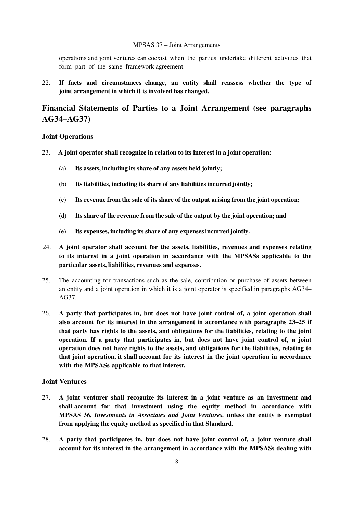operations and joint ventures can coexist when the parties undertake different activities that form part of the same framework agreement.

22. **If facts and circumstances change, an entity shall reassess whether the type of joint arrangement in which it is involved has changed.**

## **Financial Statements of Parties to a Joint Arrangement (see paragraphs AG34–AG37)**

#### **Joint Operations**

- 23. **A joint operator shall recognize in relation to its interest in a joint operation:**
	- (a) **Its assets, including its share of any assets held jointly;**
	- (b) **Its liabilities, including its share of any liabilities incurred jointly;**
	- (c) **Its revenue from the sale of its share of the output arising from the joint operation;**
	- (d) **Its share of the revenue from the sale of the output by the joint operation; and**
	- (e) **Its expenses, including its share of any expenses incurred jointly.**
- 24. **A joint operator shall account for the assets, liabilities, revenues and expenses relating to its interest in a joint operation in accordance with the MPSASs applicable to the particular assets, liabilities, revenues and expenses.**
- 25. The accounting for transactions such as the sale, contribution or purchase of assets between an entity and a joint operation in which it is a joint operator is specified in paragraphs AG34– AG37.
- 26. **A party that participates in, but does not have joint control of, a joint operation shall also account for its interest in the arrangement in accordance with paragraphs 23–25 if that party has rights to the assets, and obligations for the liabilities, relating to the joint operation. If a party that participates in, but does not have joint control of, a joint operation does not have rights to the assets, and obligations for the liabilities, relating to that joint operation, it shall account for its interest in the joint operation in accordance with the MPSASs applicable to that interest.**

#### **Joint Ventures**

- 27. **A joint venturer shall recognize its interest in a joint venture as an investment and shall account for that investment using the equity method in accordance with MPSAS 36,** *Investments in Associates and Joint Ventures,* **unless the entity is exempted from applying the equity method as specified in that Standard.**
- 28. **A party that participates in, but does not have joint control of, a joint venture shall account for its interest in the arrangement in accordance with the MPSASs dealing with**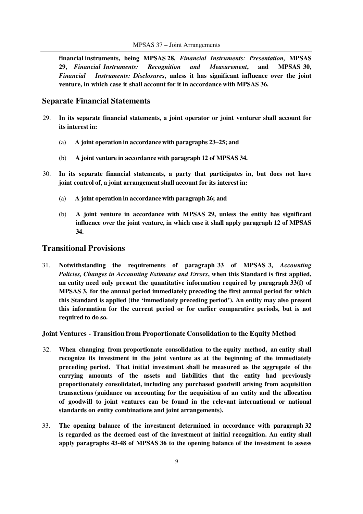**financial instruments, being MPSAS 28,** *Financial Instruments: Presentation,* **MPSAS 29,** *Financial Instruments: Recognition and Measurement***, and MPSAS 30,**  *Financial Instruments: Disclosures***, unless it has significant influence over the joint venture, in which case it shall account for it in accordance with MPSAS 36.**

#### **Separate Financial Statements**

- 29. **In its separate financial statements, a joint operator or joint venturer shall account for its interest in:**
	- (a) **A joint operation in accordance with paragraphs 23–25; and**
	- (b) **A joint venture in accordance with paragraph 12 of MPSAS 34.**
- 30. **In its separate financial statements, a party that participates in, but does not have joint control of, a joint arrangement shall account for its interest in:**
	- (a) **A joint operation in accordance with paragraph 26; and**
	- (b) **A joint venture in accordance with MPSAS 29, unless the entity has significant influence over the joint venture, in which case it shall apply paragraph 12 of MPSAS 34.**

## **Transitional Provisions**

31. **Notwithstanding the requirements of paragraph 33 of MPSAS 3,** *Accounting Policies, Changes in Accounting Estimates and Errors***, when this Standard is first applied, an entity need only present the quantitative information required by paragraph 33(f) of MPSAS 3, for the annual period immediately preceding the first annual period for which this Standard is applied (the 'immediately preceding period'). An entity may also present this information for the current period or for earlier comparative periods, but is not required to do so.** 

#### **Joint Ventures - Transition from Proportionate Consolidation to the Equity Method**

- 32. **When changing from proportionate consolidation to the equity method, an entity shall recognize its investment in the joint venture as at the beginning of the immediately preceding period. That initial investment shall be measured as the aggregate of the carrying amounts of the assets and liabilities that the entity had previously proportionately consolidated, including any purchased goodwill arising from acquisition transactions (guidance on accounting for the acquisition of an entity and the allocation of goodwill to joint ventures can be found in the relevant international or national standards on entity combinations and joint arrangements).**
- 33. **The opening balance of the investment determined in accordance with paragraph 32 is regarded as the deemed cost of the investment at initial recognition. An entity shall apply paragraphs 43-48 of MPSAS 36 to the opening balance of the investment to assess**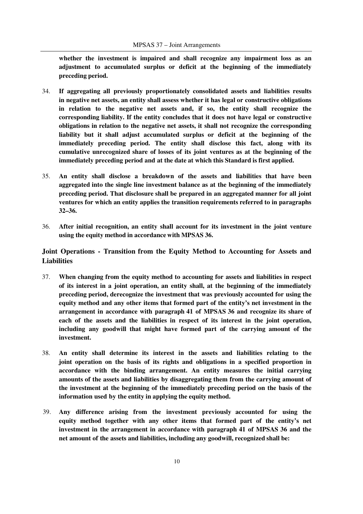**whether the investment is impaired and shall recognize any impairment loss as an adjustment to accumulated surplus or deficit at the beginning of the immediately preceding period.**

- 34. **If aggregating all previously proportionately consolidated assets and liabilities results in negative net assets, an entity shall assess whether it has legal or constructive obligations in relation to the negative net assets and, if so, the entity shall recognize the corresponding liability. If the entity concludes that it does not have legal or constructive obligations in relation to the negative net assets, it shall not recognize the corresponding liability but it shall adjust accumulated surplus or deficit at the beginning of the immediately preceding period. The entity shall disclose this fact, along with its cumulative unrecognized share of losses of its joint ventures as at the beginning of the immediately preceding period and at the date at which this Standard is first applied.**
- 35. **An entity shall disclose a breakdown of the assets and liabilities that have been aggregated into the single line investment balance as at the beginning of the immediately preceding period. That disclosure shall be prepared in an aggregated manner for all joint ventures for which an entity applies the transition requirements referred to in paragraphs 32–36.**
- 36. **After initial recognition, an entity shall account for its investment in the joint venture using the equity method in accordance with MPSAS 36.**

## **Joint Operations - Transition from the Equity Method to Accounting for Assets and Liabilities**

- 37. **When changing from the equity method to accounting for assets and liabilities in respect of its interest in a joint operation, an entity shall, at the beginning of the immediately preceding period, derecognize the investment that was previously accounted for using the equity method and any other items that formed part of the entity's net investment in the arrangement in accordance with paragraph 41 of MPSAS 36 and recognize its share of each of the assets and the liabilities in respect of its interest in the joint operation, including any goodwill that might have formed part of the carrying amount of the investment.**
- 38. **An entity shall determine its interest in the assets and liabilities relating to the joint operation on the basis of its rights and obligations in a specified proportion in accordance with the binding arrangement. An entity measures the initial carrying amounts of the assets and liabilities by disaggregating them from the carrying amount of the investment at the beginning of the immediately preceding period on the basis of the information used by the entity in applying the equity method.**
- 39. **Any difference arising from the investment previously accounted for using the equity method together with any other items that formed part of the entity's net investment in the arrangement in accordance with paragraph 41 of MPSAS 36 and the net amount of the assets and liabilities, including any goodwill, recognized shall be:**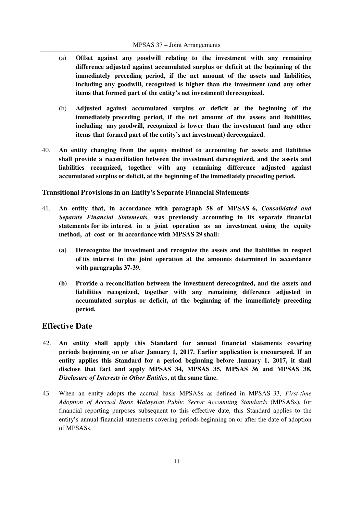- (a) **Offset against any goodwill relating to the investment with any remaining difference adjusted against accumulated surplus or deficit at the beginning of the immediately preceding period, if the net amount of the assets and liabilities, including any goodwill, recognized is higher than the investment (and any other items that formed part of the entity's net investment) derecognized.**
- (b) **Adjusted against accumulated surplus or deficit at the beginning of the immediately preceding period, if the net amount of the assets and liabilities, including any goodwill, recognized is lower than the investment (and any other items that formed part of the entity's net investment) derecognized.**
- 40. **An entity changing from the equity method to accounting for assets and liabilities shall provide a reconciliation between the investment derecognized, and the assets and liabilities recognized, together with any remaining difference adjusted against accumulated surplus or deficit, at the beginning of the immediately preceding period.**

#### **Transitional Provisions in an Entity's Separate Financial Statements**

- 41. **An entity that, in accordance with paragraph 58 of MPSAS 6,** *Consolidated and Separate Financial Statements,* **was previously accounting in its separate financial statements for its interest in a joint operation as an investment using the equity method, at cost or in accordance with MPSAS 29 shall:**
	- **(a) Derecognize the investment and recognize the assets and the liabilities in respect of its interest in the joint operation at the amounts determined in accordance with paragraphs 37-39.**
	- **(b) Provide a reconciliation between the investment derecognized, and the assets and liabilities recognized, together with any remaining difference adjusted in accumulated surplus or deficit, at the beginning of the immediately preceding period.**

## **Effective Date**

- 42. **An entity shall apply this Standard for annual financial statements covering periods beginning on or after January 1, 2017. Earlier application is encouraged. If an entity applies this Standard for a period beginning before January 1, 2017, it shall disclose that fact and apply MPSAS 34, MPSAS 35, MPSAS 36 and MPSAS 38,**  *Disclosure of Interests in Other Entities***, at the same time.**
- 43. When an entity adopts the accrual basis MPSASs as defined in MPSAS 33, *First-time Adoption of Accrual Basis Malaysian Public Sector Accounting Standards* (MPSASs), for financial reporting purposes subsequent to this effective date, this Standard applies to the entity's annual financial statements covering periods beginning on or after the date of adoption of MPSASs.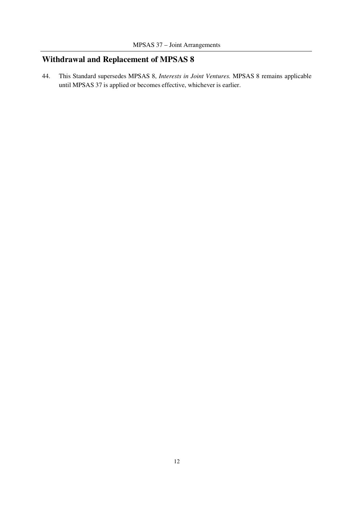## **Withdrawal and Replacement of MPSAS 8**

44. This Standard supersedes MPSAS 8, *Interests in Joint Ventures.* MPSAS 8 remains applicable until MPSAS 37 is applied or becomes effective, whichever is earlier.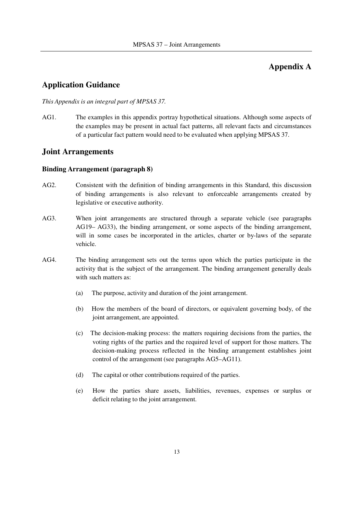## **Appendix A**

## **Application Guidance**

#### *This Appendix is an integral part of MPSAS 37.*

AG1. The examples in this appendix portray hypothetical situations. Although some aspects of the examples may be present in actual fact patterns, all relevant facts and circumstances of a particular fact pattern would need to be evaluated when applying MPSAS 37.

#### **Joint Arrangements**

#### **Binding Arrangement (paragraph 8)**

- AG2. Consistent with the definition of binding arrangements in this Standard, this discussion of binding arrangements is also relevant to enforceable arrangements created by legislative or executive authority.
- AG3. When joint arrangements are structured through a separate vehicle (see paragraphs AG19– AG33), the binding arrangement, or some aspects of the binding arrangement, will in some cases be incorporated in the articles, charter or by-laws of the separate vehicle.
- AG4. The binding arrangement sets out the terms upon which the parties participate in the activity that is the subject of the arrangement. The binding arrangement generally deals with such matters as:
	- (a) The purpose, activity and duration of the joint arrangement.
	- (b) How the members of the board of directors, or equivalent governing body, of the joint arrangement, are appointed.
	- (c) The decision-making process: the matters requiring decisions from the parties, the voting rights of the parties and the required level of support for those matters. The decision-making process reflected in the binding arrangement establishes joint control of the arrangement (see paragraphs AG5–AG11).
	- (d) The capital or other contributions required of the parties.
	- (e) How the parties share assets, liabilities, revenues, expenses or surplus or deficit relating to the joint arrangement.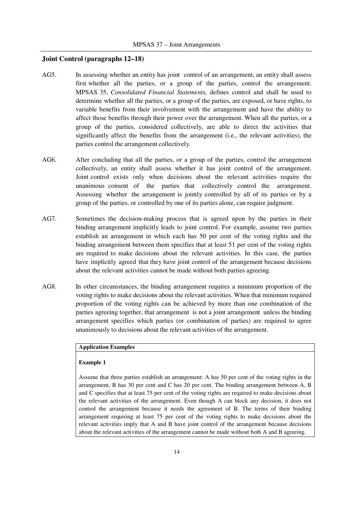#### **Joint Control (paragraphs 12–18)**

- AG5. In assessing whether an entity has joint control of an arrangement, an entity shall assess first whether all the parties, or a group of the parties, control the arrangement. MPSAS 35, *Consolidated Financial Statements,* defines control and shall be used to determine whether all the parties, or a group of the parties, are exposed, or have rights, to variable benefits from their involvement with the arrangement and have the ability to affect those benefits through their power over the arrangement. When all the parties, or a group of the parties, considered collectively, are able to direct the activities that significantly affect the benefits from the arrangement (i.e., the relevant activities), the parties control the arrangement collectively.
- AG6. After concluding that all the parties, or a group of the parties, control the arrangement collectively, an entity shall assess whether it has joint control of the arrangement. Joint control exists only when decisions about the relevant activities require the unanimous consent of the parties that collectively control the arrangement. Assessing whether the arrangement is jointly controlled by all of its parties or by a group of the parties, or controlled by one of its parties alone, can require judgment.
- AG7. Sometimes the decision-making process that is agreed upon by the parties in their binding arrangement implicitly leads to joint control. For example, assume two parties establish an arrangement in which each has 50 per cent of the voting rights and the binding arrangement between them specifies that at least 51 per cent of the voting rights are required to make decisions about the relevant activities. In this case, the parties have implicitly agreed that they have joint control of the arrangement because decisions about the relevant activities cannot be made without both parties agreeing.
- AG8. In other circumstances, the binding arrangement requires a minimum proportion of the voting rights to make decisions about the relevant activities. When that minimum required proportion of the voting rights can be achieved by more than one combination of the parties agreeing together, that arrangement is not a joint arrangement unless the binding arrangement specifies which parties (or combination of parties) are required to agree unanimously to decisions about the relevant activities of the arrangement.

#### **Application Examples**

#### **Example 1**

Assume that three parties establish an arrangement: A has 50 per cent of the voting rights in the arrangement, B has 30 per cent and C has 20 per cent. The binding arrangement between A, B and C specifies that at least 75 per cent of the voting rights are required to make decisions about the relevant activities of the arrangement. Even though A can block any decision, it does not control the arrangement because it needs the agreement of B. The terms of their binding arrangement requiring at least 75 per cent of the voting rights to make decisions about the relevant activities imply that A and B have joint control of the arrangement because decisions about the relevant activities of the arrangement cannot be made without both A and B agreeing.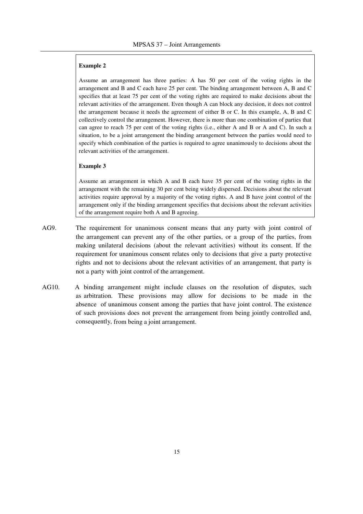#### **Example 2**

Assume an arrangement has three parties: A has 50 per cent of the voting rights in the arrangement and B and C each have 25 per cent. The binding arrangement between A, B and C specifies that at least 75 per cent of the voting rights are required to make decisions about the relevant activities of the arrangement. Even though A can block any decision, it does not control the arrangement because it needs the agreement of either B or C. In this example, A, B and C collectively control the arrangement. However, there is more than one combination of parties that can agree to reach 75 per cent of the voting rights (i.e., either A and B or A and C). In such a situation, to be a joint arrangement the binding arrangement between the parties would need to specify which combination of the parties is required to agree unanimously to decisions about the relevant activities of the arrangement.

#### **Example 3**

Assume an arrangement in which A and B each have 35 per cent of the voting rights in the arrangement with the remaining 30 per cent being widely dispersed. Decisions about the relevant activities require approval by a majority of the voting rights. A and B have joint control of the arrangement only if the binding arrangement specifies that decisions about the relevant activities of the arrangement require both A and B agreeing.

- AG9. The requirement for unanimous consent means that any party with joint control of the arrangement can prevent any of the other parties, or a group of the parties, from making unilateral decisions (about the relevant activities) without its consent. If the requirement for unanimous consent relates only to decisions that give a party protective rights and not to decisions about the relevant activities of an arrangement, that party is not a party with joint control of the arrangement.
- AG10. A binding arrangement might include clauses on the resolution of disputes, such as arbitration. These provisions may allow for decisions to be made in the absence of unanimous consent among the parties that have joint control. The existence of such provisions does not prevent the arrangement from being jointly controlled and, consequently, from being a joint arrangement.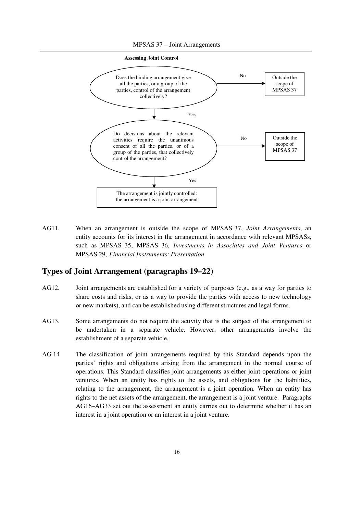

AG11. When an arrangement is outside the scope of MPSAS 37, *Joint Arrangements*, an entity accounts for its interest in the arrangement in accordance with relevant MPSASs, such as MPSAS 35, MPSAS 36, *Investments in Associates and Joint Ventures* or MPSAS 29, *Financial Instruments: Presentation*.

## **Types of Joint Arrangement (paragraphs 19–22)**

- AG12. Joint arrangements are established for a variety of purposes (e.g., as a way for parties to share costs and risks, or as a way to provide the parties with access to new technology or new markets), and can be established using different structures and legal forms.
- AG13. Some arrangements do not require the activity that is the subject of the arrangement to be undertaken in a separate vehicle. However, other arrangements involve the establishment of a separate vehicle.
- AG 14 The classification of joint arrangements required by this Standard depends upon the parties' rights and obligations arising from the arrangement in the normal course of operations. This Standard classifies joint arrangements as either joint operations or joint ventures. When an entity has rights to the assets, and obligations for the liabilities, relating to the arrangement, the arrangement is a joint operation. When an entity has rights to the net assets of the arrangement, the arrangement is a joint venture. Paragraphs AG16–AG33 set out the assessment an entity carries out to determine whether it has an interest in a joint operation or an interest in a joint venture.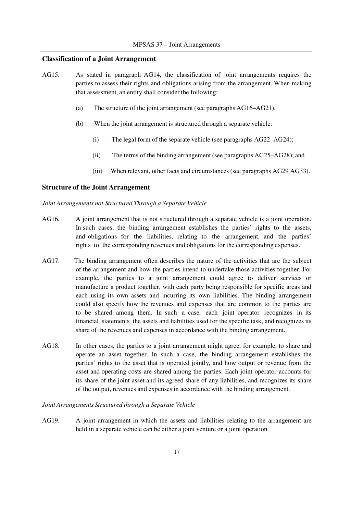#### **Classification of a Joint Arrangement**

- AG15. As stated in paragraph AG14, the classification of joint arrangements requires the parties to assess their rights and obligations arising from the arrangement. When making that assessment, an entity shall consider the following:
	- (a) The structure of the joint arrangement (see paragraphs AG16–AG21).
	- (b) When the joint arrangement is structured through a separate vehicle:
		- (i) The legal form of the separate vehicle (see paragraphs AG22–AG24);
		- (ii) The terms of the binding arrangement (see paragraphs AG25–AG28); and
		- (iii) When relevant, other facts and circumstances (see paragraphs AG29 AG33).

#### **Structure of the Joint Arrangement**

#### *Joint Arrangements not Structured Through a Separate Vehicle*

- AG16. A joint arrangement that is not structured through a separate vehicle is a joint operation. In such cases, the binding arrangement establishes the parties' rights to the assets, and obligations for the liabilities, relating to the arrangement, and the parties' rights to the corresponding revenues and obligations for the corresponding expenses.
- AG17. The binding arrangement often describes the nature of the activities that are the subject of the arrangement and how the parties intend to undertake those activities together. For example, the parties to a joint arrangement could agree to deliver services or manufacture a product together, with each party being responsible for specific areas and each using its own assets and incurring its own liabilities. The binding arrangement could also specify how the revenues and expenses that are common to the parties are to be shared among them. In such a case, each joint operator recognizes in its financial statements the assets and liabilities used for the specific task, and recognizes its share of the revenues and expenses in accordance with the binding arrangement.
- AG18. In other cases, the parties to a joint arrangement might agree, for example, to share and operate an asset together. In such a case, the binding arrangement establishes the parties' rights to the asset that is operated jointly, and how output or revenue from the asset and operating costs are shared among the parties. Each joint operator accounts for its share of the joint asset and its agreed share of any liabilities, and recognizes its share of the output, revenues and expenses in accordance with the binding arrangement.

#### *Joint Arrangements Structured through a Separate Vehicle*

AG19. A joint arrangement in which the assets and liabilities relating to the arrangement are held in a separate vehicle can be either a joint venture or a joint operation.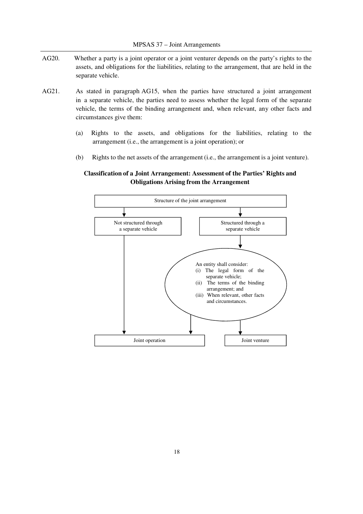- AG20. Whether a party is a joint operator or a joint venturer depends on the party's rights to the assets, and obligations for the liabilities, relating to the arrangement, that are held in the separate vehicle.
- AG21. As stated in paragraph AG15, when the parties have structured a joint arrangement in a separate vehicle, the parties need to assess whether the legal form of the separate vehicle, the terms of the binding arrangement and, when relevant, any other facts and circumstances give them:
	- (a) Rights to the assets, and obligations for the liabilities, relating to the arrangement (i.e., the arrangement is a joint operation); or
	- (b) Rights to the net assets of the arrangement (i.e., the arrangement is a joint venture).

#### **Classification of a Joint Arrangement: Assessment of the Parties' Rights and Obligations Arising from the Arrangement**

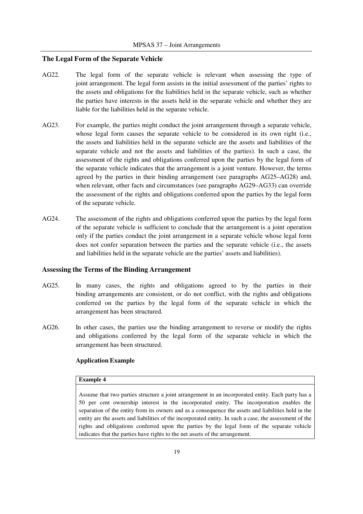#### **The Legal Form of the Separate Vehicle**

- AG22. The legal form of the separate vehicle is relevant when assessing the type of joint arrangement. The legal form assists in the initial assessment of the parties' rights to the assets and obligations for the liabilities held in the separate vehicle, such as whether the parties have interests in the assets held in the separate vehicle and whether they are liable for the liabilities held in the separate vehicle.
- AG23. For example, the parties might conduct the joint arrangement through a separate vehicle, whose legal form causes the separate vehicle to be considered in its own right (i.e., the assets and liabilities held in the separate vehicle are the assets and liabilities of the separate vehicle and not the assets and liabilities of the parties). In such a case, the assessment of the rights and obligations conferred upon the parties by the legal form of the separate vehicle indicates that the arrangement is a joint venture. However, the terms agreed by the parties in their binding arrangement (see paragraphs AG25–AG28) and, when relevant, other facts and circumstances (see paragraphs AG29–AG33) can override the assessment of the rights and obligations conferred upon the parties by the legal form of the separate vehicle.
- AG24. The assessment of the rights and obligations conferred upon the parties by the legal form of the separate vehicle is sufficient to conclude that the arrangement is a joint operation only if the parties conduct the joint arrangement in a separate vehicle whose legal form does not confer separation between the parties and the separate vehicle (i.e., the assets and liabilities held in the separate vehicle are the parties' assets and liabilities).

#### **Assessing the Terms of the Binding Arrangement**

- AG25. In many cases, the rights and obligations agreed to by the parties in their binding arrangements are consistent, or do not conflict, with the rights and obligations conferred on the parties by the legal form of the separate vehicle in which the arrangement has been structured.
- AG26. In other cases, the parties use the binding arrangement to reverse or modify the rights and obligations conferred by the legal form of the separate vehicle in which the arrangement has been structured.

#### **Application Example**

#### **Example 4**

Assume that two parties structure a joint arrangement in an incorporated entity. Each party has a 50 per cent ownership interest in the incorporated entity. The incorporation enables the separation of the entity from its owners and as a consequence the assets and liabilities held in the entity are the assets and liabilities of the incorporated entity. In such a case, the assessment of the rights and obligations conferred upon the parties by the legal form of the separate vehicle indicates that the parties have rights to the net assets of the arrangement.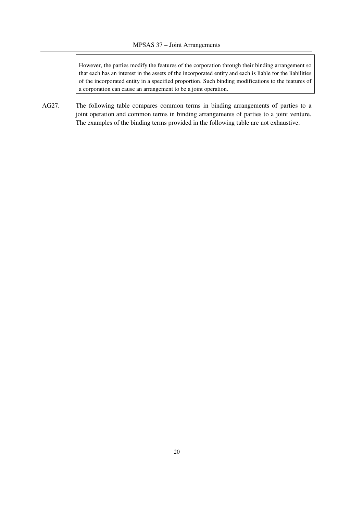However, the parties modify the features of the corporation through their binding arrangement so that each has an interest in the assets of the incorporated entity and each is liable for the liabilities of the incorporated entity in a specified proportion. Such binding modifications to the features of a corporation can cause an arrangement to be a joint operation.

AG27. The following table compares common terms in binding arrangements of parties to a joint operation and common terms in binding arrangements of parties to a joint venture. The examples of the binding terms provided in the following table are not exhaustive.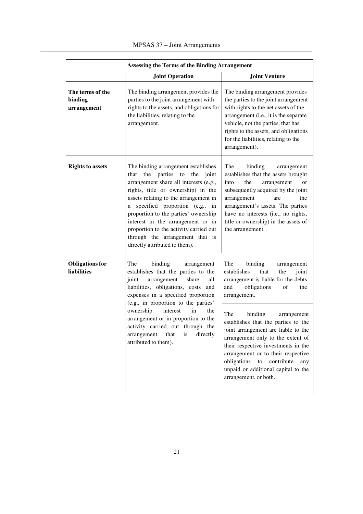| <b>Assessing the Terms of the Binding Arrangement</b> |                                                                                                                                                                                                                                                                                                                                                                                                                                    |                                                                                                                                                                                                                                                                                                                                                                                                                                                                                                           |  |  |
|-------------------------------------------------------|------------------------------------------------------------------------------------------------------------------------------------------------------------------------------------------------------------------------------------------------------------------------------------------------------------------------------------------------------------------------------------------------------------------------------------|-----------------------------------------------------------------------------------------------------------------------------------------------------------------------------------------------------------------------------------------------------------------------------------------------------------------------------------------------------------------------------------------------------------------------------------------------------------------------------------------------------------|--|--|
|                                                       | <b>Joint Operation</b>                                                                                                                                                                                                                                                                                                                                                                                                             | <b>Joint Venture</b>                                                                                                                                                                                                                                                                                                                                                                                                                                                                                      |  |  |
| The terms of the<br>binding<br>arrangement            | The binding arrangement provides the<br>parties to the joint arrangement with<br>rights to the assets, and obligations for<br>the liabilities, relating to the<br>arrangement.                                                                                                                                                                                                                                                     | The binding arrangement provides<br>the parties to the joint arrangement<br>with rights to the net assets of the<br>arrangement (i.e., it is the separate<br>vehicle, not the parties, that has<br>rights to the assets, and obligations<br>for the liabilities, relating to the<br>arrangement).                                                                                                                                                                                                         |  |  |
| <b>Rights to assets</b>                               | The binding arrangement establishes<br>the parties to<br>the joint<br>that<br>arrangement share all interests (e.g.,<br>rights, title or ownership) in the<br>assets relating to the arrangement in<br>a specified proportion (e.g., in<br>proportion to the parties' ownership<br>interest in the arrangement or in<br>proportion to the activity carried out<br>through the arrangement that is<br>directly attributed to them). | The<br>binding<br>arrangement<br>establishes that the assets brought<br>the<br>into<br>arrangement<br>or<br>subsequently acquired by the joint<br>arrangement<br>the<br>are<br>arrangement's assets. The parties<br>have no interests (i.e., no rights,<br>title or ownership) in the assets of<br>the arrangement.                                                                                                                                                                                       |  |  |
| <b>Obligations</b> for<br><b>liabilities</b>          | The<br>binding<br>arrangement<br>establishes that the parties to the<br>joint<br>arrangement<br>all<br>share<br>liabilities, obligations, costs<br>and<br>expenses in a specified proportion<br>(e.g., in proportion to the parties'<br>ownership<br>interest<br>in<br>the<br>arrangement or in proportion to the<br>activity carried out through the<br>directly<br>arrangement<br>that<br>is<br>attributed to them).             | The<br>binding<br>arrangement<br>establishes<br>that<br>the<br>joint<br>arrangement is liable for the debts<br>obligations<br>of<br>and<br>the<br>arrangement.<br>The<br>binding<br>arrangement<br>establishes that the parties to the<br>joint arrangement are liable to the<br>arrangement only to the extent of<br>their respective investments in the<br>arrangement or to their respective<br>obligations<br>to<br>contribute<br>any<br>unpaid or additional capital to the<br>arrangement, or both. |  |  |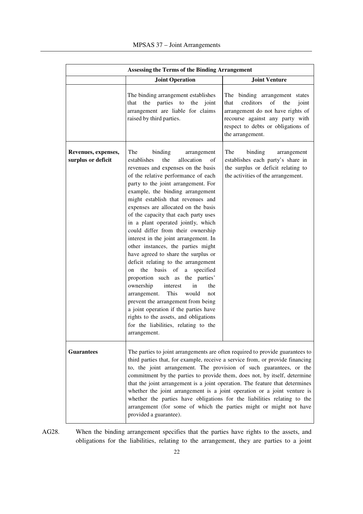| <b>Assessing the Terms of the Binding Arrangement</b> |                                                                                                                                                                                                                                                                                                                                                                                                                                                                                                                                                                                                                                                                                                                                                                                                                                                                                                                                |                                                                                                                                                                                                             |  |  |
|-------------------------------------------------------|--------------------------------------------------------------------------------------------------------------------------------------------------------------------------------------------------------------------------------------------------------------------------------------------------------------------------------------------------------------------------------------------------------------------------------------------------------------------------------------------------------------------------------------------------------------------------------------------------------------------------------------------------------------------------------------------------------------------------------------------------------------------------------------------------------------------------------------------------------------------------------------------------------------------------------|-------------------------------------------------------------------------------------------------------------------------------------------------------------------------------------------------------------|--|--|
|                                                       | <b>Joint Operation</b>                                                                                                                                                                                                                                                                                                                                                                                                                                                                                                                                                                                                                                                                                                                                                                                                                                                                                                         | <b>Joint Venture</b>                                                                                                                                                                                        |  |  |
|                                                       | The binding arrangement establishes<br>the parties to<br>the joint<br>that<br>arrangement are liable for claims<br>raised by third parties.                                                                                                                                                                                                                                                                                                                                                                                                                                                                                                                                                                                                                                                                                                                                                                                    | The binding arrangement states<br>creditors<br>that<br>of<br>the<br>joint<br>arrangement do not have rights of<br>recourse against any party with<br>respect to debts or obligations of<br>the arrangement. |  |  |
| Revenues, expenses,<br>surplus or deficit             | The<br>binding<br>arrangement<br>allocation<br>establishes<br>the<br>οf<br>revenues and expenses on the basis<br>of the relative performance of each<br>party to the joint arrangement. For<br>example, the binding arrangement<br>might establish that revenues and<br>expenses are allocated on the basis<br>of the capacity that each party uses<br>in a plant operated jointly, which<br>could differ from their ownership<br>interest in the joint arrangement. In<br>other instances, the parties might<br>have agreed to share the surplus or<br>deficit relating to the arrangement<br>the basis of a specified<br>on<br>proportion such as the parties'<br>in<br>ownership<br>interest<br>the<br>This<br>arrangement.<br>would<br>not<br>prevent the arrangement from being<br>a joint operation if the parties have<br>rights to the assets, and obligations<br>for the liabilities, relating to the<br>arrangement. | binding<br>The<br>arrangement<br>establishes each party's share in<br>the surplus or deficit relating to<br>the activities of the arrangement.                                                              |  |  |
| <b>Guarantees</b>                                     | The parties to joint arrangements are often required to provide guarantees to<br>third parties that, for example, receive a service from, or provide financing<br>to, the joint arrangement. The provision of such guarantees, or the<br>commitment by the parties to provide them, does not, by itself, determine<br>that the joint arrangement is a joint operation. The feature that determines<br>whether the joint arrangement is a joint operation or a joint venture is<br>whether the parties have obligations for the liabilities relating to the<br>arrangement (for some of which the parties might or might not have<br>provided a guarantee).                                                                                                                                                                                                                                                                     |                                                                                                                                                                                                             |  |  |

AG28. When the binding arrangement specifies that the parties have rights to the assets, and obligations for the liabilities, relating to the arrangement, they are parties to a joint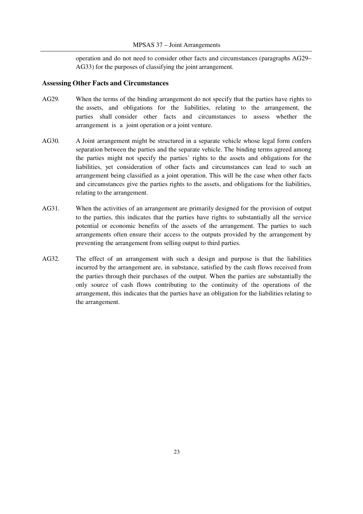operation and do not need to consider other facts and circumstances (paragraphs AG29– AG33) for the purposes of classifying the joint arrangement.

#### **Assessing Other Facts and Circumstances**

- AG29. When the terms of the binding arrangement do not specify that the parties have rights to the assets, and obligations for the liabilities, relating to the arrangement, the parties shall consider other facts and circumstances to assess whether the arrangement is a joint operation or a joint venture.
- AG30. A Joint arrangement might be structured in a separate vehicle whose legal form confers separation between the parties and the separate vehicle. The binding terms agreed among the parties might not specify the parties' rights to the assets and obligations for the liabilities, yet consideration of other facts and circumstances can lead to such an arrangement being classified as a joint operation. This will be the case when other facts and circumstances give the parties rights to the assets, and obligations for the liabilities, relating to the arrangement.
- AG31. When the activities of an arrangement are primarily designed for the provision of output to the parties, this indicates that the parties have rights to substantially all the service potential or economic benefits of the assets of the arrangement. The parties to such arrangements often ensure their access to the outputs provided by the arrangement by preventing the arrangement from selling output to third parties.
- AG32. The effect of an arrangement with such a design and purpose is that the liabilities incurred by the arrangement are, in substance, satisfied by the cash flows received from the parties through their purchases of the output. When the parties are substantially the only source of cash flows contributing to the continuity of the operations of the arrangement, this indicates that the parties have an obligation for the liabilities relating to the arrangement.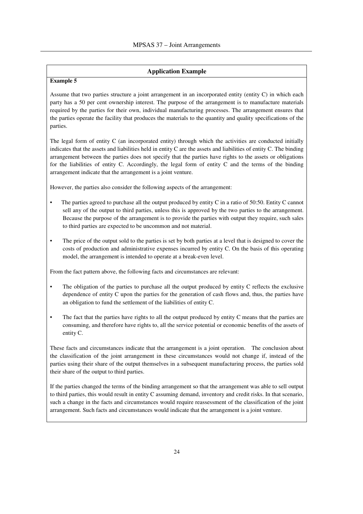#### **Application Example**

#### **Example 5**

Assume that two parties structure a joint arrangement in an incorporated entity (entity C) in which each party has a 50 per cent ownership interest. The purpose of the arrangement is to manufacture materials required by the parties for their own, individual manufacturing processes. The arrangement ensures that the parties operate the facility that produces the materials to the quantity and quality specifications of the parties.

The legal form of entity C (an incorporated entity) through which the activities are conducted initially indicates that the assets and liabilities held in entity C are the assets and liabilities of entity C. The binding arrangement between the parties does not specify that the parties have rights to the assets or obligations for the liabilities of entity C. Accordingly, the legal form of entity C and the terms of the binding arrangement indicate that the arrangement is a joint venture.

However, the parties also consider the following aspects of the arrangement:

- The parties agreed to purchase all the output produced by entity C in a ratio of 50:50. Entity C cannot sell any of the output to third parties, unless this is approved by the two parties to the arrangement. Because the purpose of the arrangement is to provide the parties with output they require, such sales to third parties are expected to be uncommon and not material.
- The price of the output sold to the parties is set by both parties at a level that is designed to cover the costs of production and administrative expenses incurred by entity C. On the basis of this operating model, the arrangement is intended to operate at a break-even level.

From the fact pattern above, the following facts and circumstances are relevant:

- The obligation of the parties to purchase all the output produced by entity C reflects the exclusive dependence of entity C upon the parties for the generation of cash flows and, thus, the parties have an obligation to fund the settlement of the liabilities of entity C.
- The fact that the parties have rights to all the output produced by entity C means that the parties are consuming, and therefore have rights to, all the service potential or economic benefits of the assets of entity C.

These facts and circumstances indicate that the arrangement is a joint operation. The conclusion about the classification of the joint arrangement in these circumstances would not change if, instead of the parties using their share of the output themselves in a subsequent manufacturing process, the parties sold their share of the output to third parties.

If the parties changed the terms of the binding arrangement so that the arrangement was able to sell output to third parties, this would result in entity C assuming demand, inventory and credit risks. In that scenario, such a change in the facts and circumstances would require reassessment of the classification of the joint arrangement. Such facts and circumstances would indicate that the arrangement is a joint venture.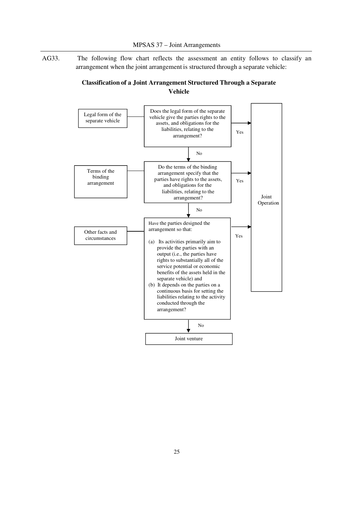AG33. The following flow chart reflects the assessment an entity follows to classify an arrangement when the joint arrangement is structured through a separate vehicle:

#### **Classification of a Joint Arrangement Structured Through a Separate Vehicle**

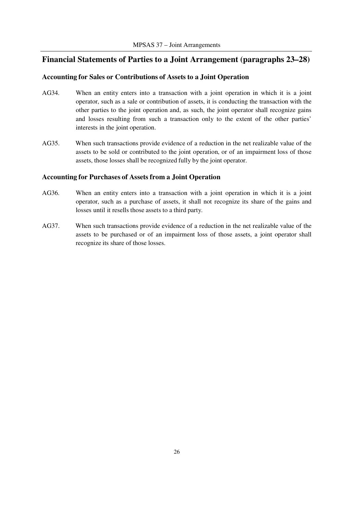## **Financial Statements of Parties to a Joint Arrangement (paragraphs 23–28)**

#### **Accounting for Sales or Contributions of Assets to a Joint Operation**

- AG34. When an entity enters into a transaction with a joint operation in which it is a joint operator, such as a sale or contribution of assets, it is conducting the transaction with the other parties to the joint operation and, as such, the joint operator shall recognize gains and losses resulting from such a transaction only to the extent of the other parties' interests in the joint operation.
- AG35. When such transactions provide evidence of a reduction in the net realizable value of the assets to be sold or contributed to the joint operation, or of an impairment loss of those assets, those losses shall be recognized fully by the joint operator.

#### **Accounting for Purchases of Assets from a Joint Operation**

- AG36. When an entity enters into a transaction with a joint operation in which it is a joint operator, such as a purchase of assets, it shall not recognize its share of the gains and losses until it resells those assets to a third party.
- AG37. When such transactions provide evidence of a reduction in the net realizable value of the assets to be purchased or of an impairment loss of those assets, a joint operator shall recognize its share of those losses.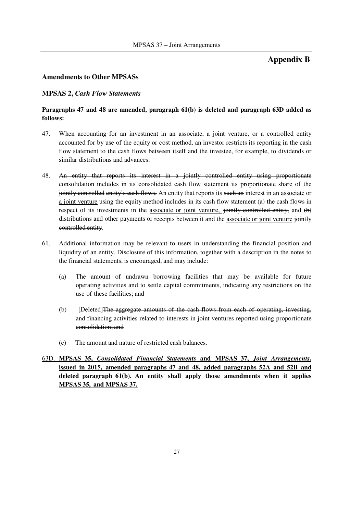## **Appendix B**

## **Amendments to Other MPSASs**

#### **MPSAS 2,** *Cash Flow Statements*

#### **Paragraphs 47 and 48 are amended, paragraph 61(b) is deleted and paragraph 63D added as follows:**

- 47. When accounting for an investment in an associate, a joint venture, or a controlled entity accounted for by use of the equity or cost method, an investor restricts its reporting in the cash flow statement to the cash flows between itself and the investee, for example, to dividends or similar distributions and advances.
- 48. An entity that reports its interest in a jointly controlled entity using proportionate consolidation includes in its consolidated cash flow statement its proportionate share of the jointly controlled entity's cash flows. An entity that reports its such an interest in an associate or a joint venture using the equity method includes in its cash flow statement  $(a)$ -the cash flows in respect of its investments in the associate or joint venture, jointly controlled entity, and (b) distributions and other payments or receipts between it and the associate or joint venture jointly controlled entity.
- 61. Additional information may be relevant to users in understanding the financial position and liquidity of an entity. Disclosure of this information, together with a description in the notes to the financial statements, is encouraged, and may include:
	- (a) The amount of undrawn borrowing facilities that may be available for future operating activities and to settle capital commitments, indicating any restrictions on the use of these facilities; and
	- (b) [Deleted]The aggregate amounts of the cash flows from each of operating, investing, and financing activities related to interests in joint ventures reported using proportionate consolidation; and
	- (c) The amount and nature of restricted cash balances.

## 63D. **MPSAS 35,** *Consolidated Financial Statements* **and MPSAS 37,** *Joint Arrangements***, issued in 2015, amended paragraphs 47 and 48, added paragraphs 52A and 52B and deleted paragraph 61(b). An entity shall apply those amendments when it applies MPSAS 35, and MPSAS 37.**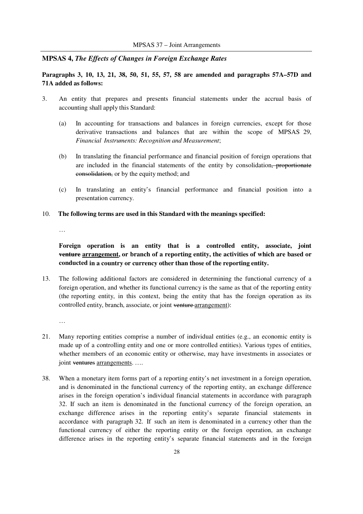#### **MPSAS 4,** *The Effects of Changes in Foreign Exchange Rates*

**Paragraphs 3, 10, 13, 21, 38, 50, 51, 55, 57, 58 are amended and paragraphs 57A–57D and 71A added as follows:**

- 3. An entity that prepares and presents financial statements under the accrual basis of accounting shall apply this Standard:
	- (a) In accounting for transactions and balances in foreign currencies, except for those derivative transactions and balances that are within the scope of MPSAS 29, *Financial Instruments: Recognition and Measurement*;
	- (b) In translating the financial performance and financial position of foreign operations that are included in the financial statements of the entity by consolidation. **proportionate** consolidation, or by the equity method; and
	- (c) In translating an entity's financial performance and financial position into a presentation currency.
- 10. **The following terms are used in this Standard with the meanings specified:**
	- …

**Foreign operation is an entity that is a controlled entity, associate, joint venture arrangement, or branch of a reporting entity, the activities of which are based or conducted in a country or currency other than those of the reporting entity.**

- 13. The following additional factors are considered in determining the functional currency of a foreign operation, and whether its functional currency is the same as that of the reporting entity (the reporting entity, in this context, being the entity that has the foreign operation as its controlled entity, branch, associate, or joint venture arrangement):
	- …
- 21. Many reporting entities comprise a number of individual entities (e.g., an economic entity is made up of a controlling entity and one or more controlled entities). Various types of entities, whether members of an economic entity or otherwise, may have investments in associates or joint ventures arrangements. ....
- 38. When a monetary item forms part of a reporting entity's net investment in a foreign operation, and is denominated in the functional currency of the reporting entity, an exchange difference arises in the foreign operation's individual financial statements in accordance with paragraph 32. If such an item is denominated in the functional currency of the foreign operation, an exchange difference arises in the reporting entity's separate financial statements in accordance with paragraph 32. If such an item is denominated in a currency other than the functional currency of either the reporting entity or the foreign operation, an exchange difference arises in the reporting entity's separate financial statements and in the foreign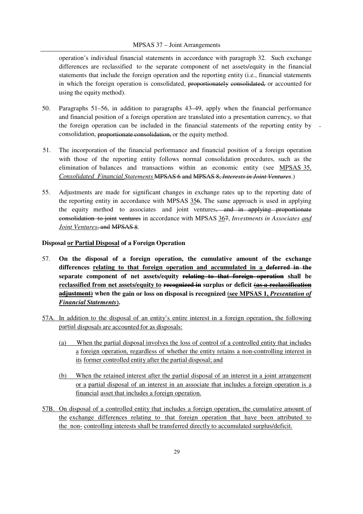#### MPSAS 37 – Joint Arrangements

operation's individual financial statements in accordance with paragraph 32. Such exchange differences are reclassified to the separate component of net assets/equity in the financial statements that include the foreign operation and the reporting entity (i.e., financial statements in which the foreign operation is consolidated, proportionately consolidated, or accounted for using the equity method).

- 50. Paragraphs 51–56, in addition to paragraphs 43–49, apply when the financial performance and financial position of a foreign operation are translated into a presentation currency, so that the foreign operation can be included in the financial statements of the reporting entity by consolidation, proportionate consolidation, or the equity method.
- 51. The incorporation of the financial performance and financial position of a foreign operation with those of the reporting entity follows normal consolidation procedures, such as the elimination of balances and transactions within an economic entity (see MPSAS 35, *Consolidated Financial Statements* MPSAS 6 and MPSAS 8, *Interests in Joint Ventures*.)
- 55. Adjustments are made for significant changes in exchange rates up to the reporting date of the reporting entity in accordance with MPSAS 356, The same approach is used in applying the equity method to associates and joint ventures, and in applying proportionate consolidation to joint ventures in accordance with MPSAS 367, *Investments in Associates and Joint Ventures*, and MPSAS 8.

#### **Disposal or Partial Disposal of a Foreign Operation**

- 57. **On the disposal of a foreign operation, the cumulative amount of the exchange differences relating to that foreign operation and accumulated in a deferred in the separate component of net assets/equity relating to that foreign operation shall be reclassified from net assets/equity to recognized in surplus or deficit (as a reclassification adjustment) when the gain or loss on disposal is recognized (see MPSAS 1,** *Presentation of Financial Statements***).**
- 57A. In addition to the disposal of an entity's entire interest in a foreign operation, the following partial disposals are accounted for as disposals:
	- (a) When the partial disposal involves the loss of control of a controlled entity that includes a foreign operation, regardless of whether the entity retains a non-controlling interest in its former controlled entity after the partial disposal; and
	- (b) When the retained interest after the partial disposal of an interest in a joint arrangement or a partial disposal of an interest in an associate that includes a foreign operation is a financial asset that includes a foreign operation.
- 57B. On disposal of a controlled entity that includes a foreign operation, the cumulative amount of the exchange differences relating to that foreign operation that have been attributed to the non- controlling interests shall be transferred directly to accumulated surplus/deficit.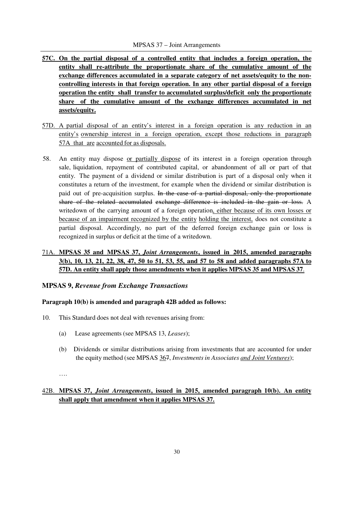- **57C. On the partial disposal of a controlled entity that includes a foreign operation, the entity shall re-attribute the proportionate share of the cumulative amount of the exchange differences accumulated in a separate category of net assets/equity to the noncontrolling interests in that foreign operation. In any other partial disposal of a foreign operation the entity shall transfer to accumulated surplus/deficit only the proportionate share of the cumulative amount of the exchange differences accumulated in net assets/equity.**
- 57D. A partial disposal of an entity's interest in a foreign operation is any reduction in an entity's ownership interest in a foreign operation, except those reductions in paragraph 57A that are accounted for as disposals.
- 58. An entity may dispose or partially dispose of its interest in a foreign operation through sale, liquidation, repayment of contributed capital, or abandonment of all or part of that entity. The payment of a dividend or similar distribution is part of a disposal only when it constitutes a return of the investment, for example when the dividend or similar distribution is paid out of pre-acquisition surplus. In the case of a partial disposal, only the proportionate share of the related accumulated exchange difference is included in the gain or loss. A writedown of the carrying amount of a foreign operation, either because of its own losses or because of an impairment recognized by the entity holding the interest, does not constitute a partial disposal. Accordingly, no part of the deferred foreign exchange gain or loss is recognized in surplus or deficit at the time of a writedown.

## 71A. **MPSAS 35 and MPSAS 37,** *Joint Arrangements***, issued in 2015, amended paragraphs 3(b), 10, 13, 21, 22, 38, 47, 50 to 51, 53, 55, and 57 to 58 and added paragraphs 57A to 57D. An entity shall apply those amendments when it applies MPSAS 35 and MPSAS 37**.

#### **MPSAS 9,** *Revenue from Exchange Transactions*

#### **Paragraph 10(b) is amended and paragraph 42B added as follows:**

- 10. This Standard does not deal with revenues arising from:
	- (a) Lease agreements (see MPSAS 13, *Leases*);
	- (b) Dividends or similar distributions arising from investments that are accounted for under the equity method (see MPSAS 367, *Investments in Associates and Joint Ventures*);

….

## 42B. **MPSAS 37,** *Joint Arrangements***, issued in 2015, amended paragraph 10(b). An entity shall apply that amendment when it applies MPSAS 37.**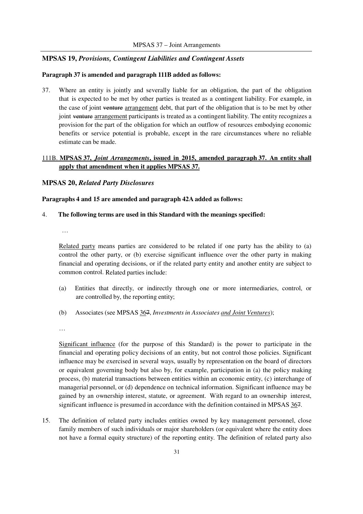#### **MPSAS 19,** *Provisions, Contingent Liabilities and Contingent Assets*

#### **Paragraph 37 is amended and paragraph 111B added as follows:**

37. Where an entity is jointly and severally liable for an obligation, the part of the obligation that is expected to be met by other parties is treated as a contingent liability. For example, in the case of joint venture arrangement debt, that part of the obligation that is to be met by other joint venture arrangement participants is treated as a contingent liability. The entity recognizes a provision for the part of the obligation for which an outflow of resources embodying economic benefits or service potential is probable, except in the rare circumstances where no reliable estimate can be made.

## 111B. **MPSAS 37,** *Joint Arrangements***, issued in 2015, amended paragraph 37. An entity shall apply that amendment when it applies MPSAS 37.**

#### **MPSAS 20,** *Related Party Disclosures*

#### **Paragraphs 4 and 15 are amended and paragraph 42A added as follows:**

#### 4. **The following terms are used in this Standard with the meanings specified:**

…

Related party means parties are considered to be related if one party has the ability to (a) control the other party, or (b) exercise significant influence over the other party in making financial and operating decisions, or if the related party entity and another entity are subject to common control. Related parties include:

- (a) Entities that directly, or indirectly through one or more intermediaries, control, or are controlled by, the reporting entity;
- (b) Associates (see MPSAS 367, *Investments in Associates and Joint Ventures*);

…

Significant influence (for the purpose of this Standard) is the power to participate in the financial and operating policy decisions of an entity, but not control those policies. Significant influence may be exercised in several ways, usually by representation on the board of directors or equivalent governing body but also by, for example, participation in (a) the policy making process, (b) material transactions between entities within an economic entity, (c) interchange of managerial personnel, or (d) dependence on technical information. Significant influence may be gained by an ownership interest, statute, or agreement. With regard to an ownership interest, significant influence is presumed in accordance with the definition contained in MPSAS 367.

15. The definition of related party includes entities owned by key management personnel, close family members of such individuals or major shareholders (or equivalent where the entity does not have a formal equity structure) of the reporting entity. The definition of related party also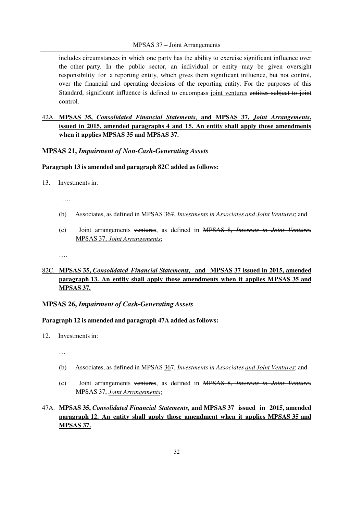#### MPSAS 37 – Joint Arrangements

includes circumstances in which one party has the ability to exercise significant influence over the other party. In the public sector, an individual or entity may be given oversight responsibility for a reporting entity, which gives them significant influence, but not control, over the financial and operating decisions of the reporting entity. For the purposes of this Standard, significant influence is defined to encompass joint ventures entities subject to joint control.

## 42A. **MPSAS 35,** *Consolidated Financial Statements,* **and MPSAS 37,** *Joint Arrangements***, issued in 2015, amended paragraphs 4 and 15. An entity shall apply those amendments when it applies MPSAS 35 and MPSAS 37.**

#### **MPSAS 21,** *Impairment of Non-Cash-Generating Assets*

#### **Paragraph 13 is amended and paragraph 82C added as follows:**

13. Investments in:

….

- (b) Associates, as defined in MPSAS 367, *Investments in Associates and Joint Ventures*; and
- (c) Joint arrangements ventures, as defined in MPSAS 8, *Interests in Joint Ventures*  MPSAS 37, *Joint Arrangements*;
- ….

## 82C. **MPSAS 35,** *Consolidated Financial Statements,* **and MPSAS 37 issued in 2015, amended paragraph 13. An entity shall apply those amendments when it applies MPSAS 35 and MPSAS 37.**

#### **MPSAS 26,** *Impairment of Cash-Generating Assets*

#### **Paragraph 12 is amended and paragraph 47A added as follows:**

12. Investments in:

…

- (b) Associates, as defined in MPSAS 367, *Investments in Associates and Joint Ventures*; and
- (c) Joint arrangements ventures, as defined in MPSAS 8, *Interests in Joint Ventures*  MPSAS 37, *Joint Arrangements*;

## 47A. **MPSAS 35,** *Consolidated Financial Statements,* **and MPSAS 37 issued in 2015, amended paragraph 12. An entity shall apply those amendment when it applies MPSAS 35 and MPSAS 37.**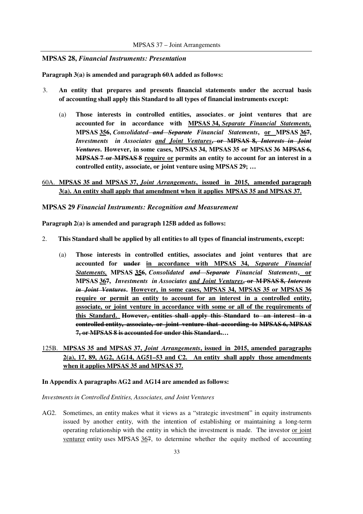#### **MPSAS 28,** *Financial Instruments: Presentation*

**Paragraph 3(a) is amended and paragraph 60A added as follows:**

- 3. **An entity that prepares and presents financial statements under the accrual basis of accounting shall apply this Standard to all types of financial instruments except:**
	- (a) **Those interests in controlled entities, associates or joint ventures that are accounted for in accordance with MPSAS 34,** *Separate Financial Statements,*  **MPSAS 356,** *Consolidated and Separate Financial Statements***, or MPSAS 367,**  *Investments in Associates and Joint Ventures***, or MPSAS 8,** *Interests in Joint Ventures***. However, in some cases, MPSAS 34, MPSAS 35 or MPSAS 36 MPSAS 6, MPSAS 7 or MPSAS 8 require or permits an entity to account for an interest in a controlled entity, associate, or joint venture using MPSAS 29; …**

## 60A. **MPSAS 35 and MPSAS 37,** *Joint Arrangements***, issued in 2015, amended paragraph 3(a). An entity shall apply that amendment when it applies MPSAS 35 and MPSAS 37.**

#### **MPSAS 29** *Financial Instruments: Recognition and Measurement*

**Paragraph 2(a) is amended and paragraph 125B added as follows:**

- 2. **This Standard shall be applied by all entities to all types of financial instruments, except:**
	- (a) **Those interests in controlled entities, associates and joint ventures that are accounted for under in accordance with MPSAS 34,** *Separate Financial Statements,* **MPSAS 356,** *Consolidated and Separate Financial Statements***, or MPSAS 367,** *Investments in Associates and Joint Ventures***, or M PSAS 8,** *Interests in Joint Ventures***. However, in some cases, MPSAS 34, MPSAS 35 or MPSAS 36 require or permit an entity to account for an interest in a controlled entity, associate, or joint venture in accordance with some or all of the requirements of this Standard. However, entities shall apply this Standard to an interest in a controlled entity, associate, or joint venture that according to MPSAS 6, MPSAS 7, or MPSAS 8 is accounted for under this Standard.…**
- 125B. **MPSAS 35 and MPSAS 37,** *Joint Arrangements***, issued in 2015, amended paragraphs 2(a), 17, 89, AG2, AG14, AG51–53 and C2. An entity shall apply those amendments when it applies MPSAS 35 and MPSAS 37.**

#### **In Appendix A paragraphs AG2 and AG14 are amended as follows:**

*Investments in Controlled Entities, Associates, and Joint Ventures*

AG2. Sometimes, an entity makes what it views as a "strategic investment" in equity instruments issued by another entity, with the intention of establishing or maintaining a long-term operating relationship with the entity in which the investment is made. The investor or joint venturer entity uses MPSAS 367, to determine whether the equity method of accounting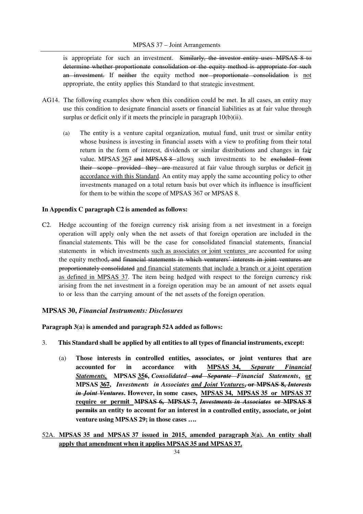#### MPSAS 37 – Joint Arrangements

is appropriate for such an investment. Similarly, the investor entity uses MPSAS 8 to determine whether proportionate consolidation or the equity method is appropriate for such an investment. If neither the equity method nor proportionate consolidation is not appropriate, the entity applies this Standard to that strategic investment.

- AG14. The following examples show when this condition could be met. In all cases, an entity may use this condition to designate financial assets or financial liabilities as at fair value through surplus or deficit only if it meets the principle in paragraph  $10(b)(ii)$ .
	- (a) The entity is a venture capital organization, mutual fund, unit trust or similar entity whose business is investing in financial assets with a view to profiting from their total return in the form of interest, dividends or similar distributions and changes in fair value. MPSAS 367 and MPSAS 8 allows such investments to be excluded from their scope provided they are measured at fair value through surplus or deficit in accordance with this Standard. An entity may apply the same accounting policy to other investments managed on a total return basis but over which its influence is insufficient for them to be within the scope of MPSAS 367 or MPSAS 8.

#### **In Appendix C paragraph C2 is amended as follows:**

C2. Hedge accounting of the foreign currency risk arising from a net investment in a foreign operation will apply only when the net assets of that foreign operation are included in the financial statements. This will be the case for consolidated financial statements, financial statements in which investments such as associates or joint ventures are accounted for using the equity method, and financial statements in which venturers' interests in joint ventures are proportionately consolidated and financial statements that include a branch or a joint operation as defined in MPSAS 37. The item being hedged with respect to the foreign currency risk arising from the net investment in a foreign operation may be an amount of net assets equal to or less than the carrying amount of the net assets of the foreign operation.

#### **MPSAS 30,** *Financial Instruments: Disclosures*

#### **Paragraph 3(a) is amended and paragraph 52A added as follows:**

- 3. **This Standard shall be applied by all entities to all types of financial instruments, except:**
	- (a) **Those interests in controlled entities, associates, or joint ventures that are accounted for in accordance with MPSAS 34,** *Separate Financial Statements,* **MPSAS 356,** *Consolidated and Separate Financial Statements***, or MPSAS 367,** *Investments in Associates and Joint Ventures***, or MPSAS 8,** *Interests in Joint Ventures***. However, in some cases, MPSAS 34, MPSAS 35 or MPSAS 37 require or permit MPSAS 6, MPSAS 7,** *Investments in Associates* **or MPSAS 8 permits an entity to account for an interest in a controlled entity, associate, or joint venture using MPSAS 29; in those cases ….**
- 52A. **MPSAS 35 and MPSAS 37 issued in 2015, amended paragraph 3(a). An entity shall apply that amendment when it applies MPSAS 35 and MPSAS 37.**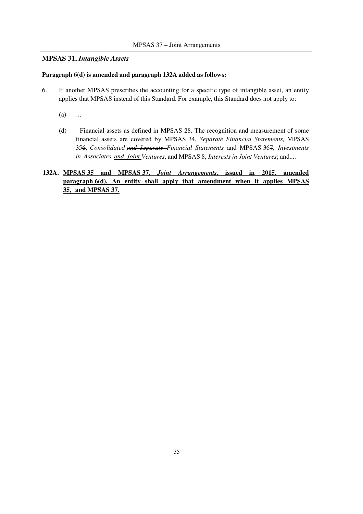#### **MPSAS 31,** *Intangible Assets*

#### **Paragraph 6(d) is amended and paragraph 132A added as follows:**

- 6. If another MPSAS prescribes the accounting for a specific type of intangible asset, an entity applies that MPSAS instead of this Standard. For example, this Standard does not apply to:
	- (a) …
	- (d) Financial assets as defined in MPSAS 28. The recognition and measurement of some financial assets are covered by MPSAS 34, *Separate Financial Statements,* MPSAS 356, *Consolidated and Separate Financial Statements* and MPSAS 367, *Investments in Associates and Joint Ventures*, and MPSAS 8, *Interests in Joint Ventures*; and....
- **132A. MPSAS 35 and MPSAS 37,** *Joint Arrangements***, issued in 2015, amended paragraph 6(d). An entity shall apply that amendment when it applies MPSAS 35, and MPSAS 37.**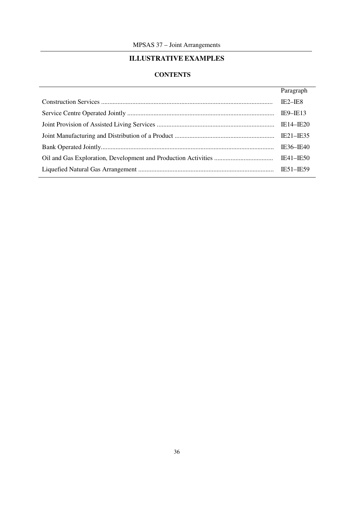## **ILLUSTRATIVE EXAMPLES**

## **CONTENTS**

| Paragraph        |
|------------------|
| IE2–IE8          |
| $IE9-IE13$       |
|                  |
| $IE21-E35$       |
| <b>IE36-IE40</b> |
|                  |
|                  |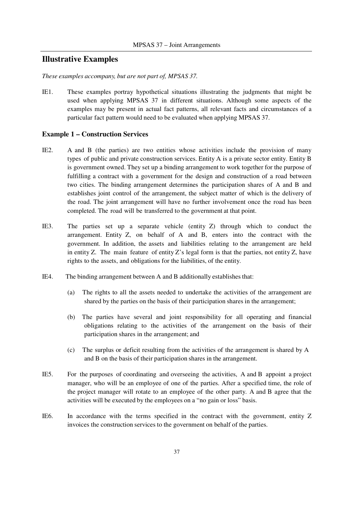#### **Illustrative Examples**

*These examples accompany, but are not part of, MPSAS 37.*

IE1. These examples portray hypothetical situations illustrating the judgments that might be used when applying MPSAS 37 in different situations. Although some aspects of the examples may be present in actual fact patterns, all relevant facts and circumstances of a particular fact pattern would need to be evaluated when applying MPSAS 37.

#### **Example 1 – Construction Services**

- IE2. A and B (the parties) are two entities whose activities include the provision of many types of public and private construction services. Entity A is a private sector entity. Entity B is government owned. They set up a binding arrangement to work together for the purpose of fulfilling a contract with a government for the design and construction of a road between two cities. The binding arrangement determines the participation shares of A and B and establishes joint control of the arrangement, the subject matter of which is the delivery of the road. The joint arrangement will have no further involvement once the road has been completed. The road will be transferred to the government at that point.
- IE3. The parties set up a separate vehicle (entity Z) through which to conduct the arrangement. Entity Z, on behalf of A and B, enters into the contract with the government. In addition, the assets and liabilities relating to the arrangement are held in entity Z. The main feature of entity Z's legal form is that the parties, not entity Z, have rights to the assets, and obligations for the liabilities, of the entity.
- IE4. The binding arrangement between A and B additionally establishes that:
	- (a) The rights to all the assets needed to undertake the activities of the arrangement are shared by the parties on the basis of their participation shares in the arrangement;
	- (b) The parties have several and joint responsibility for all operating and financial obligations relating to the activities of the arrangement on the basis of their participation shares in the arrangement; and
	- (c) The surplus or deficit resulting from the activities of the arrangement is shared by A and B on the basis of their participation shares in the arrangement.
- IE5. For the purposes of coordinating and overseeing the activities, A and B appoint a project manager, who will be an employee of one of the parties. After a specified time, the role of the project manager will rotate to an employee of the other party. A and B agree that the activities will be executed by the employees on a "no gain or loss" basis.
- IE6. In accordance with the terms specified in the contract with the government, entity Z invoices the construction services to the government on behalf of the parties.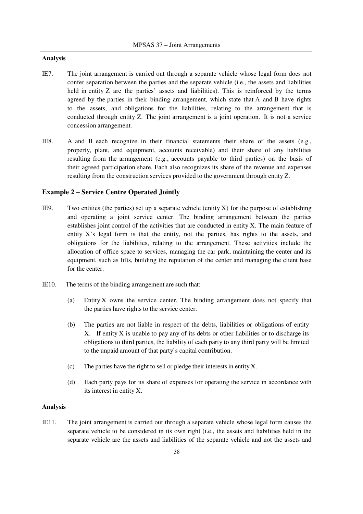#### **Analysis**

- IE7. The joint arrangement is carried out through a separate vehicle whose legal form does not confer separation between the parties and the separate vehicle (i.e., the assets and liabilities held in entity Z are the parties' assets and liabilities). This is reinforced by the terms agreed by the parties in their binding arrangement, which state that A and B have rights to the assets, and obligations for the liabilities, relating to the arrangement that is conducted through entity Z. The joint arrangement is a joint operation. It is not a service concession arrangement.
- IE8. A and B each recognize in their financial statements their share of the assets (e.g., property, plant, and equipment, accounts receivable) and their share of any liabilities resulting from the arrangement (e.g., accounts payable to third parties) on the basis of their agreed participation share. Each also recognizes its share of the revenue and expenses resulting from the construction services provided to the government through entity Z.

#### **Example 2 – Service Centre Operated Jointly**

- IE9. Two entities (the parties) set up a separate vehicle (entity  $X$ ) for the purpose of establishing and operating a joint service center. The binding arrangement between the parties establishes joint control of the activities that are conducted in entity X. The main feature of entity X's legal form is that the entity, not the parties, has rights to the assets, and obligations for the liabilities, relating to the arrangement. These activities include the allocation of office space to services, managing the car park, maintaining the center and its equipment, such as lifts, building the reputation of the center and managing the client base for the center.
- IE10. The terms of the binding arrangement are such that:
	- (a) Entity X owns the service center. The binding arrangement does not specify that the parties have rights to the service center.
	- (b) The parties are not liable in respect of the debts, liabilities or obligations of entity X. If entity X is unable to pay any of its debts or other liabilities or to discharge its obligations to third parties, the liability of each party to any third party will be limited to the unpaid amount of that party's capital contribution.
	- (c) The parties have the right to sell or pledge their interests in entity X.
	- (d) Each party pays for its share of expenses for operating the service in accordance with its interest in entity X.

#### **Analysis**

IE11. The joint arrangement is carried out through a separate vehicle whose legal form causes the separate vehicle to be considered in its own right (i.e., the assets and liabilities held in the separate vehicle are the assets and liabilities of the separate vehicle and not the assets and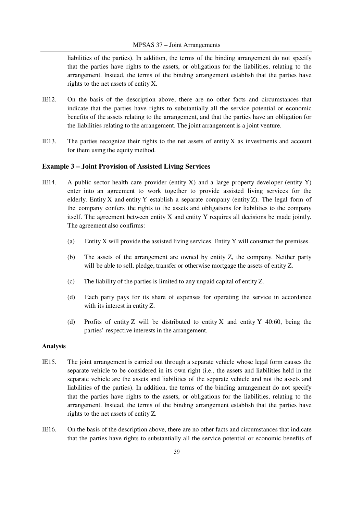liabilities of the parties). In addition, the terms of the binding arrangement do not specify that the parties have rights to the assets, or obligations for the liabilities, relating to the arrangement. Instead, the terms of the binding arrangement establish that the parties have rights to the net assets of entity X.

- IE12. On the basis of the description above, there are no other facts and circumstances that indicate that the parties have rights to substantially all the service potential or economic benefits of the assets relating to the arrangement, and that the parties have an obligation for the liabilities relating to the arrangement. The joint arrangement is a joint venture.
- IE13. The parties recognize their rights to the net assets of entity  $X$  as investments and account for them using the equity method.

#### **Example 3 – Joint Provision of Assisted Living Services**

- IE14. A public sector health care provider (entity X) and a large property developer (entity Y) enter into an agreement to work together to provide assisted living services for the elderly. Entity X and entity Y establish a separate company (entity Z). The legal form of the company confers the rights to the assets and obligations for liabilities to the company itself. The agreement between entity X and entity Y requires all decisions be made jointly. The agreement also confirms:
	- (a) Entity X will provide the assisted living services. Entity Y will construct the premises.
	- (b) The assets of the arrangement are owned by entity Z, the company. Neither party will be able to sell, pledge, transfer or otherwise mortgage the assets of entity Z.
	- (c) The liability of the parties is limited to any unpaid capital of entity Z.
	- (d) Each party pays for its share of expenses for operating the service in accordance with its interest in entity Z.
	- (d) Profits of entity Z will be distributed to entity X and entity Y 40:60, being the parties' respective interests in the arrangement.

#### **Analysis**

- IE15. The joint arrangement is carried out through a separate vehicle whose legal form causes the separate vehicle to be considered in its own right (i.e., the assets and liabilities held in the separate vehicle are the assets and liabilities of the separate vehicle and not the assets and liabilities of the parties). In addition, the terms of the binding arrangement do not specify that the parties have rights to the assets, or obligations for the liabilities, relating to the arrangement. Instead, the terms of the binding arrangement establish that the parties have rights to the net assets of entity Z.
- IE16. On the basis of the description above, there are no other facts and circumstances that indicate that the parties have rights to substantially all the service potential or economic benefits of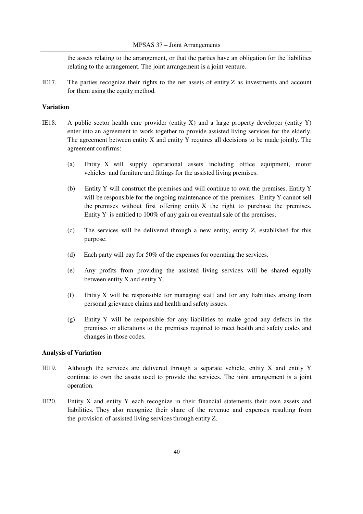the assets relating to the arrangement, or that the parties have an obligation for the liabilities relating to the arrangement. The joint arrangement is a joint venture.

IE17. The parties recognize their rights to the net assets of entity  $Z$  as investments and account for them using the equity method.

#### **Variation**

- IE18. A public sector health care provider (entity X) and a large property developer (entity Y) enter into an agreement to work together to provide assisted living services for the elderly. The agreement between entity X and entity Y requires all decisions to be made jointly. The agreement confirms:
	- (a) Entity X will supply operational assets including office equipment, motor vehicles and furniture and fittings for the assisted living premises.
	- (b) Entity Y will construct the premises and will continue to own the premises. Entity Y will be responsible for the ongoing maintenance of the premises. Entity Y cannot sell the premises without first offering entity X the right to purchase the premises. Entity Y is entitled to 100% of any gain on eventual sale of the premises.
	- (c) The services will be delivered through a new entity, entity Z, established for this purpose.
	- (d) Each party will pay for 50% of the expenses for operating the services.
	- (e) Any profits from providing the assisted living services will be shared equally between entity X and entity Y.
	- (f) Entity X will be responsible for managing staff and for any liabilities arising from personal grievance claims and health and safety issues.
	- (g) Entity Y will be responsible for any liabilities to make good any defects in the premises or alterations to the premises required to meet health and safety codes and changes in those codes.

#### **Analysis of Variation**

- IE19. Although the services are delivered through a separate vehicle, entity X and entity Y continue to own the assets used to provide the services. The joint arrangement is a joint operation.
- IE20. Entity X and entity Y each recognize in their financial statements their own assets and liabilities. They also recognize their share of the revenue and expenses resulting from the provision of assisted living services through entity Z.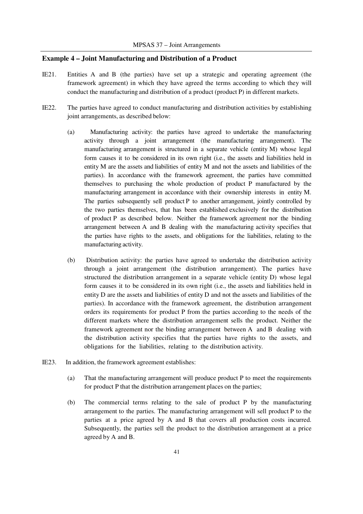#### **Example 4 – Joint Manufacturing and Distribution of a Product**

- IE21. Entities A and B (the parties) have set up a strategic and operating agreement (the framework agreement) in which they have agreed the terms according to which they will conduct the manufacturing and distribution of a product (product P) in different markets.
- IE22. The parties have agreed to conduct manufacturing and distribution activities by establishing joint arrangements, as described below:
	- (a) Manufacturing activity: the parties have agreed to undertake the manufacturing activity through a joint arrangement (the manufacturing arrangement). The manufacturing arrangement is structured in a separate vehicle (entity M) whose legal form causes it to be considered in its own right (i.e., the assets and liabilities held in entity M are the assets and liabilities of entity M and not the assets and liabilities of the parties). In accordance with the framework agreement, the parties have committed themselves to purchasing the whole production of product P manufactured by the manufacturing arrangement in accordance with their ownership interests in entity M. The parties subsequently sell product P to another arrangement, jointly controlled by the two parties themselves, that has been established exclusively for the distribution of product P as described below. Neither the framework agreement nor the binding arrangement between A and B dealing with the manufacturing activity specifies that the parties have rights to the assets, and obligations for the liabilities, relating to the manufacturing activity.
	- (b) Distribution activity: the parties have agreed to undertake the distribution activity through a joint arrangement (the distribution arrangement). The parties have structured the distribution arrangement in a separate vehicle (entity D) whose legal form causes it to be considered in its own right (i.e., the assets and liabilities held in entity D are the assets and liabilities of entity D and not the assets and liabilities of the parties). In accordance with the framework agreement, the distribution arrangement orders its requirements for product P from the parties according to the needs of the different markets where the distribution arrangement sells the product. Neither the framework agreement nor the binding arrangement between A and B dealing with the distribution activity specifies that the parties have rights to the assets, and obligations for the liabilities, relating to the distribution activity.
- IE23. In addition, the framework agreement establishes:
	- (a) That the manufacturing arrangement will produce product P to meet the requirements for product P that the distribution arrangement places on the parties;
	- (b) The commercial terms relating to the sale of product P by the manufacturing arrangement to the parties. The manufacturing arrangement will sell product P to the parties at a price agreed by A and B that covers all production costs incurred. Subsequently, the parties sell the product to the distribution arrangement at a price agreed by A and B.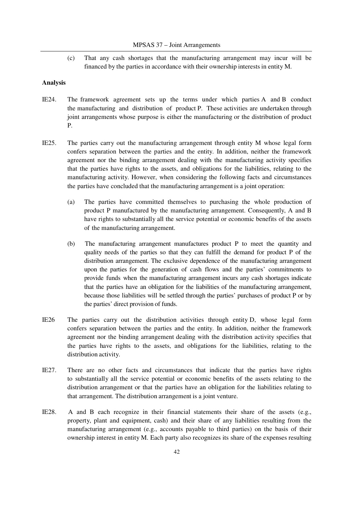(c) That any cash shortages that the manufacturing arrangement may incur will be financed by the parties in accordance with their ownership interests in entity M.

#### **Analysis**

- IE24. The framework agreement sets up the terms under which parties A and B conduct the manufacturing and distribution of product P. These activities are undertaken through joint arrangements whose purpose is either the manufacturing or the distribution of product P.
- IE25. The parties carry out the manufacturing arrangement through entity M whose legal form confers separation between the parties and the entity. In addition, neither the framework agreement nor the binding arrangement dealing with the manufacturing activity specifies that the parties have rights to the assets, and obligations for the liabilities, relating to the manufacturing activity. However, when considering the following facts and circumstances the parties have concluded that the manufacturing arrangement is a joint operation:
	- (a) The parties have committed themselves to purchasing the whole production of product P manufactured by the manufacturing arrangement. Consequently, A and B have rights to substantially all the service potential or economic benefits of the assets of the manufacturing arrangement.
	- (b) The manufacturing arrangement manufactures product P to meet the quantity and quality needs of the parties so that they can fulfill the demand for product P of the distribution arrangement. The exclusive dependence of the manufacturing arrangement upon the parties for the generation of cash flows and the parties' commitments to provide funds when the manufacturing arrangement incurs any cash shortages indicate that the parties have an obligation for the liabilities of the manufacturing arrangement, because those liabilities will be settled through the parties' purchases of product P or by the parties' direct provision of funds.
- IE26 The parties carry out the distribution activities through entity D, whose legal form confers separation between the parties and the entity. In addition, neither the framework agreement nor the binding arrangement dealing with the distribution activity specifies that the parties have rights to the assets, and obligations for the liabilities, relating to the distribution activity.
- IE27. There are no other facts and circumstances that indicate that the parties have rights to substantially all the service potential or economic benefits of the assets relating to the distribution arrangement or that the parties have an obligation for the liabilities relating to that arrangement. The distribution arrangement is a joint venture.
- IE28. A and B each recognize in their financial statements their share of the assets (e.g., property, plant and equipment, cash) and their share of any liabilities resulting from the manufacturing arrangement (e.g., accounts payable to third parties) on the basis of their ownership interest in entity M. Each party also recognizes its share of the expenses resulting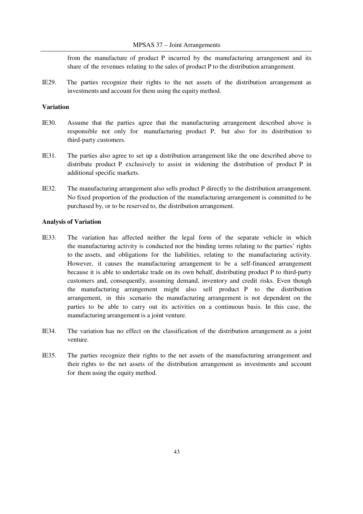from the manufacture of product P incurred by the manufacturing arrangement and its share of the revenues relating to the sales of product P to the distribution arrangement.

IE29. The parties recognize their rights to the net assets of the distribution arrangement as investments and account for them using the equity method.

#### **Variation**

- IE30. Assume that the parties agree that the manufacturing arrangement described above is responsible not only for manufacturing product P, but also for its distribution to third-party customers.
- IE31. The parties also agree to set up a distribution arrangement like the one described above to distribute product P exclusively to assist in widening the distribution of product P in additional specific markets.
- IE32. The manufacturing arrangement also sells product P directly to the distribution arrangement. No fixed proportion of the production of the manufacturing arrangement is committed to be purchased by, or to be reserved to, the distribution arrangement.

#### **Analysis of Variation**

- IE33. The variation has affected neither the legal form of the separate vehicle in which the manufacturing activity is conducted nor the binding terms relating to the parties' rights to the assets, and obligations for the liabilities, relating to the manufacturing activity. However, it causes the manufacturing arrangement to be a self-financed arrangement because it is able to undertake trade on its own behalf, distributing product P to third-party customers and, consequently, assuming demand, inventory and credit risks. Even though the manufacturing arrangement might also sell product P to the distribution arrangement, in this scenario the manufacturing arrangement is not dependent on the parties to be able to carry out its activities on a continuous basis. In this case, the manufacturing arrangement is a joint venture.
- IE34. The variation has no effect on the classification of the distribution arrangement as a joint venture.
- IE35. The parties recognize their rights to the net assets of the manufacturing arrangement and their rights to the net assets of the distribution arrangement as investments and account for them using the equity method.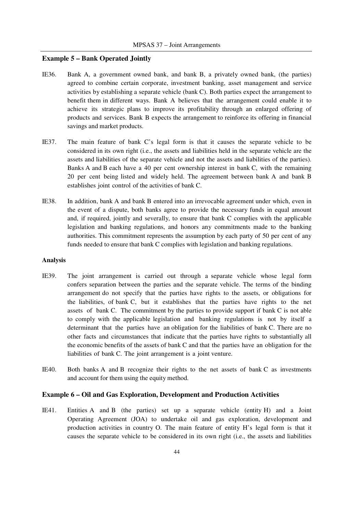#### **Example 5 – Bank Operated Jointly**

- IE36. Bank A, a government owned bank, and bank B, a privately owned bank, (the parties) agreed to combine certain corporate, investment banking, asset management and service activities by establishing a separate vehicle (bank C). Both parties expect the arrangement to benefit them in different ways. Bank A believes that the arrangement could enable it to achieve its strategic plans to improve its profitability through an enlarged offering of products and services. Bank B expects the arrangement to reinforce its offering in financial savings and market products.
- IE37. The main feature of bank C's legal form is that it causes the separate vehicle to be considered in its own right (i.e., the assets and liabilities held in the separate vehicle are the assets and liabilities of the separate vehicle and not the assets and liabilities of the parties). Banks A and B each have a 40 per cent ownership interest in bank C, with the remaining 20 per cent being listed and widely held. The agreement between bank A and bank B establishes joint control of the activities of bank C.
- IE38. In addition, bank A and bank B entered into an irrevocable agreement under which, even in the event of a dispute, both banks agree to provide the necessary funds in equal amount and, if required, jointly and severally, to ensure that bank C complies with the applicable legislation and banking regulations, and honors any commitments made to the banking authorities. This commitment represents the assumption by each party of 50 per cent of any funds needed to ensure that bank C complies with legislation and banking regulations.

#### **Analysis**

- IE39. The joint arrangement is carried out through a separate vehicle whose legal form confers separation between the parties and the separate vehicle. The terms of the binding arrangement do not specify that the parties have rights to the assets, or obligations for the liabilities, of bank C, but it establishes that the parties have rights to the net assets of bank C. The commitment by the parties to provide support if bank C is not able to comply with the applicable legislation and banking regulations is not by itself a determinant that the parties have an obligation for the liabilities of bank C. There are no other facts and circumstances that indicate that the parties have rights to substantially all the economic benefits of the assets of bank C and that the parties have an obligation for the liabilities of bank C. The joint arrangement is a joint venture.
- IE40. Both banks A and B recognize their rights to the net assets of bank C as investments and account for them using the equity method.

#### **Example 6 – Oil and Gas Exploration, Development and Production Activities**

IE41. Entities A and B (the parties) set up a separate vehicle (entity H) and a Joint Operating Agreement (JOA) to undertake oil and gas exploration, development and production activities in country O. The main feature of entity H's legal form is that it causes the separate vehicle to be considered in its own right (i.e., the assets and liabilities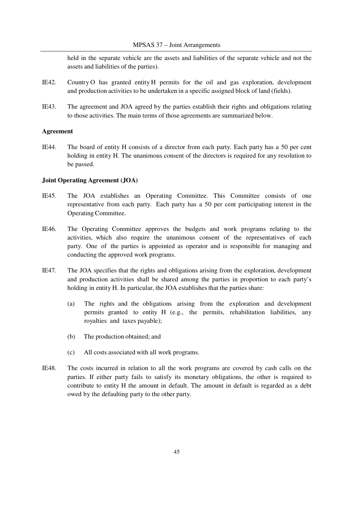held in the separate vehicle are the assets and liabilities of the separate vehicle and not the assets and liabilities of the parties).

- IE42. Country O has granted entity H permits for the oil and gas exploration, development and production activities to be undertaken in a specific assigned block of land (fields).
- IE43. The agreement and JOA agreed by the parties establish their rights and obligations relating to those activities. The main terms of those agreements are summarized below.

#### **Agreement**

IE44. The board of entity H consists of a director from each party. Each party has a 50 per cent holding in entity H. The unanimous consent of the directors is required for any resolution to be passed.

#### **Joint Operating Agreement (JOA)**

- IE45. The JOA establishes an Operating Committee. This Committee consists of one representative from each party. Each party has a 50 per cent participating interest in the Operating Committee.
- IE46. The Operating Committee approves the budgets and work programs relating to the activities, which also require the unanimous consent of the representatives of each party. One of the parties is appointed as operator and is responsible for managing and conducting the approved work programs.
- IE47. The JOA specifies that the rights and obligations arising from the exploration, development and production activities shall be shared among the parties in proportion to each party's holding in entity H. In particular, the JOA establishes that the parties share:
	- (a) The rights and the obligations arising from the exploration and development permits granted to entity H (e.g., the permits, rehabilitation liabilities, any royalties and taxes payable);
	- (b) The production obtained; and
	- (c) All costs associated with all work programs.
- IE48. The costs incurred in relation to all the work programs are covered by cash calls on the parties. If either party fails to satisfy its monetary obligations, the other is required to contribute to entity H the amount in default. The amount in default is regarded as a debt owed by the defaulting party to the other party.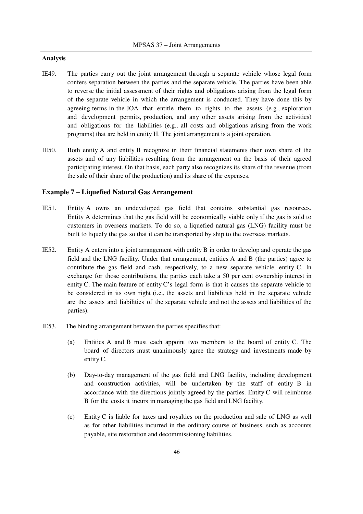#### **Analysis**

- IE49. The parties carry out the joint arrangement through a separate vehicle whose legal form confers separation between the parties and the separate vehicle. The parties have been able to reverse the initial assessment of their rights and obligations arising from the legal form of the separate vehicle in which the arrangement is conducted. They have done this by agreeing terms in the JOA that entitle them to rights to the assets (e.g., exploration and development permits, production, and any other assets arising from the activities) and obligations for the liabilities (e.g., all costs and obligations arising from the work programs) that are held in entity H. The joint arrangement is a joint operation.
- IE50. Both entity A and entity B recognize in their financial statements their own share of the assets and of any liabilities resulting from the arrangement on the basis of their agreed participating interest. On that basis, each party also recognizes its share of the revenue (from the sale of their share of the production) and its share of the expenses.

#### **Example 7 – Liquefied Natural Gas Arrangement**

- IE51. Entity A owns an undeveloped gas field that contains substantial gas resources. Entity A determines that the gas field will be economically viable only if the gas is sold to customers in overseas markets. To do so, a liquefied natural gas (LNG) facility must be built to liquefy the gas so that it can be transported by ship to the overseas markets.
- IE52. Entity A enters into a joint arrangement with entity B in order to develop and operate the gas field and the LNG facility. Under that arrangement, entities A and B (the parties) agree to contribute the gas field and cash, respectively, to a new separate vehicle, entity C. In exchange for those contributions, the parties each take a 50 per cent ownership interest in entity C. The main feature of entity C's legal form is that it causes the separate vehicle to be considered in its own right (i.e., the assets and liabilities held in the separate vehicle are the assets and liabilities of the separate vehicle and not the assets and liabilities of the parties).
- IE53. The binding arrangement between the parties specifies that:
	- (a) Entities A and B must each appoint two members to the board of entity C. The board of directors must unanimously agree the strategy and investments made by entity C.
	- (b) Day-to-day management of the gas field and LNG facility, including development and construction activities, will be undertaken by the staff of entity B in accordance with the directions jointly agreed by the parties. Entity C will reimburse B for the costs it incurs in managing the gas field and LNG facility.
	- (c) Entity C is liable for taxes and royalties on the production and sale of LNG as well as for other liabilities incurred in the ordinary course of business, such as accounts payable, site restoration and decommissioning liabilities.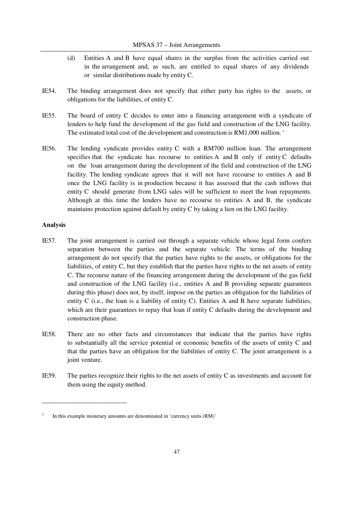- (d) Entities A and B have equal shares in the surplus from the activities carried out in the arrangement and, as such, are entitled to equal shares of any dividends or similar distributions made by entity C.
- IE54. The binding arrangement does not specify that either party has rights to the assets, or obligations for the liabilities, of entity C.
- IE55. The board of entity C decides to enter into a financing arrangement with a syndicate of lenders to help fund the development of the gas field and construction of the LNG facility. The estimated total cost of the development and construction is RM1,000 million.<sup>1</sup>
- IE56. The lending syndicate provides entity C with a RM700 million loan. The arrangement specifies that the syndicate has recourse to entities A and B only if entity C defaults on the loan arrangement during the development of the field and construction of the LNG facility. The lending syndicate agrees that it will not have recourse to entities A and B once the LNG facility is in production because it has assessed that the cash inflows that entity C should generate from LNG sales will be sufficient to meet the loan repayments. Although at this time the lenders have no recourse to entities A and B, the syndicate maintains protection against default by entity C by taking a lien on the LNG facility.

#### **Analysis**

- IE57. The joint arrangement is carried out through a separate vehicle whose legal form confers separation between the parties and the separate vehicle. The terms of the binding arrangement do not specify that the parties have rights to the assets, or obligations for the liabilities, of entity C, but they establish that the parties have rights to the net assets of entity C. The recourse nature of the financing arrangement during the development of the gas field and construction of the LNG facility (i.e., entities A and B providing separate guarantees during this phase) does not, by itself, impose on the parties an obligation for the liabilities of entity C (i.e., the loan is a liability of entity C). Entities A and B have separate liabilities, which are their guarantees to repay that loan if entity C defaults during the development and construction phase.
- IE58. There are no other facts and circumstances that indicate that the parties have rights to substantially all the service potential or economic benefits of the assets of entity C and that the parties have an obligation for the liabilities of entity C. The joint arrangement is a joint venture.
- IE59. The parties recognize their rights to the net assets of entity C as investments and account for them using the equity method.

\_\_\_\_\_\_\_\_\_\_\_\_\_\_\_\_\_\_\_\_\_\_\_\_\_\_

In this example monetary amounts are denominated in 'currency units (RM)'